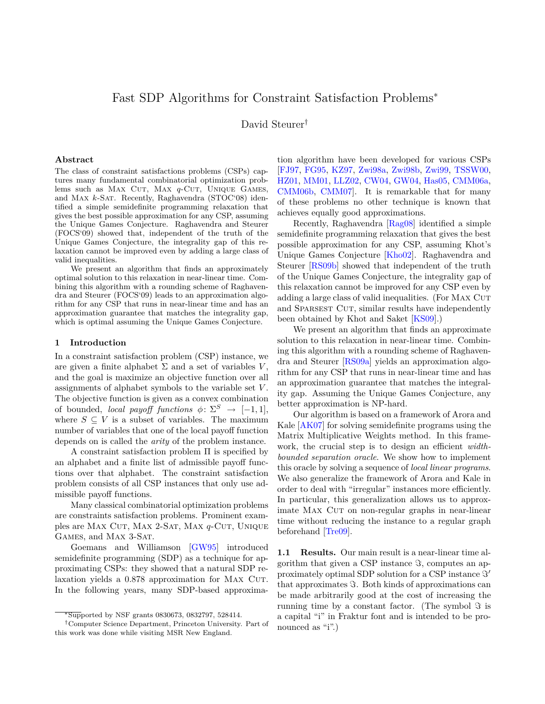# Fast SDP Algorithms for Constraint Satisfaction Problems*<sup>∗</sup>*

David Steurer*†*

#### **Abstract**

The class of constraint satisfactions problems (CSPs) captures many fundamental combinatorial optimization problems such as MAX CUT, MAX *q*-CUT, UNIQUE GAMES, and Max *k*-Sat. Recently, Raghavendra (STOC'08) identified a simple semidefinite programming relaxation that gives the best possible approximation for any CSP, assuming the Unique Games Conjecture. Raghavendra and Steurer (FOCS'09) showed that, independent of the truth of the Unique Games Conjecture, the integrality gap of this relaxation cannot be improved even by adding a large class of valid inequalities.

We present an algorithm that finds an approximately optimal solution to this relaxation in near-linear time. Combining this algorithm with a rounding scheme of Raghavendra and Steurer (FOCS'09) leads to an approximation algorithm for any CSP that runs in near-linear time and has an approximation guarantee that matches the integrality gap, which is optimal assuming the Unique Games Conjecture.

## **1 Introduction**

In a constraint satisfaction problem (CSP) instance, we are given a finite alphabet  $\Sigma$  and a set of variables  $V$ , and the goal is maximize an objective function over all assignments of alphabet symbols to the variable set *V* . The objective function is given as a convex combination of bounded, *local payoff functions*  $\phi \colon \Sigma^S \to [-1, 1]$ , where  $S \subseteq V$  is a subset of variables. The maximum number of variables that one of the local payoff function depends on is called the *arity* of the problem instance.

A constraint satisfaction problem Π is specified by an alphabet and a finite list of admissible payoff functions over that alphabet. The constraint satisfaction problem consists of all CSP instances that only use admissible payoff functions.

Many classical combinatorial optimization problems are constraints satisfaction problems. Prominent examples are Max Cut, Max 2-Sat, Max *q*-Cut, Unique Games, and Max 3-Sat.

Goemans and Williamson [\[GW95\]](#page-11-0) introduced semidefinite programming (SDP) as a technique for approximating CSPs: they showed that a natural SDP relaxation yields a  $0.878$  approximation for MAX CUT. In the following years, many SDP-based approxima-

tion algorithm have been developed for various CSPs [\[FJ97,](#page-10-0) [FG95,](#page-10-1) [KZ97,](#page-11-1) [Zwi98a,](#page-11-2) [Zwi98b,](#page-11-3) [Zwi99,](#page-11-4) [TSSW00,](#page-11-5) [HZ01,](#page-11-6) [MM01,](#page-11-7) [LLZ02,](#page-11-8) [CW04,](#page-10-2) [GW04,](#page-11-9) [Has05,](#page-11-10) [CMM06a,](#page-10-3) [CMM06b,](#page-10-4) [CMM07\]](#page-10-5). It is remarkable that for many of these problems no other technique is known that achieves equally good approximations.

Recently, Raghavendra [\[Rag08\]](#page-11-11) identified a simple semidefinite programming relaxation that gives the best possible approximation for any CSP, assuming Khot's Unique Games Conjecture [\[Kho02\]](#page-11-12). Raghavendra and Steurer [\[RS09b\]](#page-11-13) showed that independent of the truth of the Unique Games Conjecture, the integrality gap of this relaxation cannot be improved for any CSP even by adding a large class of valid inequalities. (For MAX CUT and SPARSEST CUT, similar results have independently been obtained by Khot and Saket [\[KS09\]](#page-11-14).)

We present an algorithm that finds an approximate solution to this relaxation in near-linear time. Combining this algorithm with a rounding scheme of Raghavendra and Steurer [\[RS09a\]](#page-11-15) yields an approximation algorithm for any CSP that runs in near-linear time and has an approximation guarantee that matches the integrality gap. Assuming the Unique Games Conjecture, any better approximation is NP-hard.

Our algorithm is based on a framework of Arora and Kale [\[AK07\]](#page-10-6) for solving semidefinite programs using the Matrix Multiplicative Weights method. In this framework, the crucial step is to design an efficient *widthbounded separation oracle*. We show how to implement this oracle by solving a sequence of *local linear programs*. We also generalize the framework of Arora and Kale in order to deal with "irregular" instances more efficiently. In particular, this generalization allows us to approximate MAX CUT on non-regular graphs in near-linear time without reducing the instance to a regular graph beforehand [\[Tre09\]](#page-11-16).

**1.1 Results.** Our main result is a near-linear time algorithm that given a CSP instance  $\Im$ , computes an approximately optimal SDP solution for a CSP instance  $\Im$ <sup>*/*</sup> that approximates  $\Im$ . Both kinds of approximations can be made arbitrarily good at the cost of increasing the running time by a constant factor. (The symbol  $\Im$  is a capital "i" in Fraktur font and is intended to be pronounced as "i".)

*<sup>∗</sup>*Supported by NSF grants 0830673, 0832797, 528414.

*<sup>†</sup>*Computer Science Department, Princeton University. Part of this work was done while visiting MSR New England.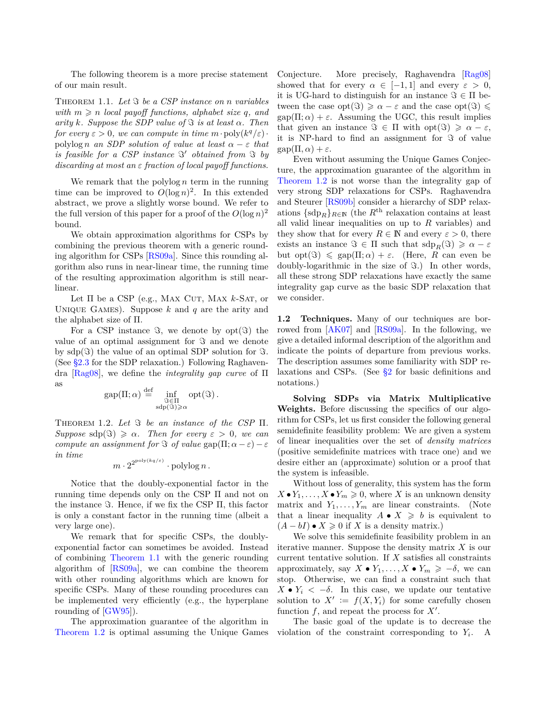<span id="page-1-0"></span>The following theorem is a more precise statement of our main result.

Theorem 1.1. *Let = be a CSP instance on n variables with*  $m \geq n$  *local payoff functions, alphabet size q, and arity k. Suppose the SDP value of*  $\Im$  *is at least*  $\alpha$ *. Then for every*  $\varepsilon > 0$ *, we can compute in time*  $m \cdot \text{poly}(k^q/\varepsilon)$ *·* polylog *n* an SDP solution of value at least  $\alpha - \varepsilon$  that *is feasible for a CSP instance*  $\Im'$  *obtained from*  $\Im$  *by discarding at most an ε fraction of local payoff functions.*

We remark that the polylog *n* term in the running time can be improved to  $O(\log n)^2$ . In this extended abstract, we prove a slightly worse bound. We refer to the full version of this paper for a proof of the  $O(\log n)^2$ bound.

We obtain approximation algorithms for CSPs by combining the previous theorem with a generic rounding algorithm for CSPs [\[RS09a\]](#page-11-15). Since this rounding algorithm also runs in near-linear time, the running time of the resulting approximation algorithm is still nearlinear.

Let Π be a CSP (e.g., Max Cut, Max *k*-Sat, or Unique Games). Suppose *k* and *q* are the arity and the alphabet size of Π.

For a CSP instance  $\Im$ , we denote by opt $(\Im)$  the value of an optimal assignment for  $\Im$  and we denote by  $\text{sdp}(\mathcal{F})$  the value of an optimal SDP solution for  $\mathcal{F}$ . (See [§2.3](#page-6-0) for the SDP relaxation.) Following Raghavendra [\[Rag08\]](#page-11-11), we define the *integrality gap curve* of Π as

$$
\text{gap}(\Pi;\alpha)\stackrel{\text{def}}{=}\inf_{\substack{\Im\in\Pi\\ \text{sdp}(\Im)\geqslant\alpha}}\text{opt}(\Im).
$$

<span id="page-1-1"></span>Theorem 1.2. *Let = be an instance of the CSP* Π*.*  $Suppose \text{ sdp}(\Im) \geq \alpha$ . Then for every  $\varepsilon > 0$ , we can *compute an assignment for*  $\Im$  *of value*  $\text{gap}(\Pi; \alpha - \varepsilon) - \varepsilon$ *in time*

$$
m \cdot 2^{2^{\text{poly}(kq/\varepsilon)}} \cdot \text{polylog } n \, .
$$

Notice that the doubly-exponential factor in the running time depends only on the CSP Π and not on the instance  $\Im$ . Hence, if we fix the CSP  $\Pi$ , this factor is only a constant factor in the running time (albeit a very large one).

We remark that for specific CSPs, the doublyexponential factor can sometimes be avoided. Instead of combining [Theorem 1.1](#page-1-0) with the generic rounding algorithm of [\[RS09a\]](#page-11-15), we can combine the theorem with other rounding algorithms which are known for specific CSPs. Many of these rounding procedures can be implemented very efficiently (e.g., the hyperplane rounding of [\[GW95\]](#page-11-0)).

The approximation guarantee of the algorithm in [Theorem 1.2](#page-1-1) is optimal assuming the Unique Games Conjecture. More precisely, Raghavendra [\[Rag08\]](#page-11-11) showed that for every  $\alpha \in [-1, 1]$  and every  $\varepsilon > 0$ , it is UG-hard to distinguish for an instance  $\Im \in \Pi$  between the case opt( $\Im$ )  $\ge \alpha - \varepsilon$  and the case opt( $\Im$ )  $\le$  $\text{gap}(\Pi; \alpha) + \varepsilon$ . Assuming the UGC, this result implies that given an instance  $\Im \in \Pi$  with opt $(\Im) \geq \alpha - \varepsilon$ , it is NP-hard to find an assignment for  $\Im$  of value  $\text{gap}(\Pi,\alpha)+\varepsilon.$ 

Even without assuming the Unique Games Conjecture, the approximation guarantee of the algorithm in [Theorem 1.2](#page-1-1) is not worse than the integrality gap of very strong SDP relaxations for CSPs. Raghavendra and Steurer [\[RS09b\]](#page-11-13) consider a hierarchy of SDP relaxations  $\{sdp_R\}_{R\in\mathbb{N}}$  (the  $R^{\text{th}}$  relaxation contains at least all valid linear inequalities on up to *R* variables) and they show that for every  $R \in \mathbb{N}$  and every  $\varepsilon > 0$ , there exists an instance  $\Im \in \Pi$  such that  $\text{sdp}_R(\Im) \geqslant \alpha - \varepsilon$ but opt $(\Im) \leq \text{gap}(\Pi; \alpha) + \varepsilon$ . (Here, R can even be doubly-logarithmic in the size of  $\Im$ .) In other words, all these strong SDP relaxations have exactly the same integrality gap curve as the basic SDP relaxation that we consider.

**1.2 Techniques.** Many of our techniques are borrowed from  $[AK07]$  and  $[RS09a]$ . In the following, we give a detailed informal description of the algorithm and indicate the points of departure from previous works. The description assumes some familiarity with SDP relaxations and CSPs. (See [§2](#page-4-0) for basic definitions and notations.)

**Solving SDPs via Matrix Multiplicative Weights.** Before discussing the specifics of our algorithm for CSPs, let us first consider the following general semidefinite feasibility problem: We are given a system of linear inequalities over the set of *density matrices* (positive semidefinite matrices with trace one) and we desire either an (approximate) solution or a proof that the system is infeasible.

Without loss of generality, this system has the form  $X \bullet Y_1, \ldots, X \bullet Y_m \geq 0$ , where *X* is an unknown density matrix and  $Y_1, \ldots, Y_m$  are linear constraints. (Note that a linear inequality  $A \bullet X \geq b$  is equivalent to  $(A - bI) \bullet X \ge 0$  if *X* is a density matrix.)

We solve this semidefinite feasibility problem in an iterative manner. Suppose the density matrix *X* is our current tentative solution. If *X* satisfies all constraints approximately, say  $X \bullet Y_1, \ldots, X \bullet Y_m \geq -\delta$ , we can stop. Otherwise, we can find a constraint such that  $X \bullet Y_i \lt -\delta$ . In this case, we update our tentative solution to  $X' := f(X, Y_i)$  for some carefully chosen function  $f$ , and repeat the process for  $X'$ .

The basic goal of the update is to decrease the violation of the constraint corresponding to  $Y_i$ . A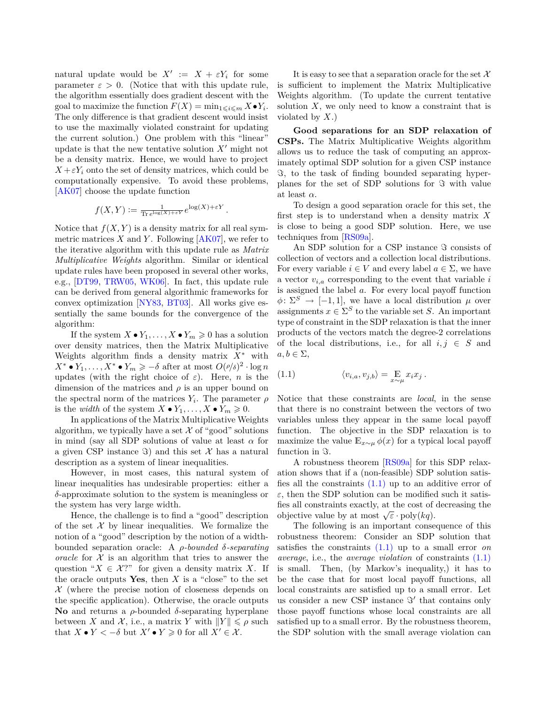natural update would be  $X' := X + \varepsilon Y_i$  for some parameter  $\varepsilon > 0$ . (Notice that with this update rule, the algorithm essentially does gradient descent with the goal to maximize the function  $F(X) = \min_{1 \leq i \leq m} X \cdot Y_i$ . The only difference is that gradient descent would insist to use the maximally violated constraint for updating the current solution.) One problem with this "linear" update is that the new tentative solution  $X'$  might not be a density matrix. Hence, we would have to project  $X + \varepsilon Y_i$  onto the set of density matrices, which could be computationally expensive. To avoid these problems, [\[AK07\]](#page-10-6) choose the update function

$$
f(X,Y) := \frac{1}{\text{Tr }e^{\log(X) + \varepsilon Y}} e^{\log(X) + \varepsilon Y}.
$$

Notice that  $f(X, Y)$  is a density matrix for all real symmetric matrices  $X$  and  $Y$ . Following  $[AK07]$ , we refer to the iterative algorithm with this update rule as *Matrix Multiplicative Weights* algorithm. Similar or identical update rules have been proposed in several other works, e.g., [\[DT99,](#page-10-7) [TRW05,](#page-11-17) [WK06\]](#page-11-18). In fact, this update rule can be derived from general algorithmic frameworks for convex optimization [\[NY83,](#page-11-19) [BT03\]](#page-10-8). All works give essentially the same bounds for the convergence of the algorithm:

If the system  $X \bullet Y_1, \ldots, X \bullet Y_m \geq 0$  has a solution over density matrices, then the Matrix Multiplicative Weights algorithm finds a density matrix *X<sup>∗</sup>* with  $X^* \bullet Y_1, \ldots, X^* \bullet Y_m \geqslant -\delta$  after at most  $O(\rho/\delta)^2 \cdot \log n$ updates (with the right choice of  $\varepsilon$ ). Here, *n* is the dimension of the matrices and  $\rho$  is an upper bound on the spectral norm of the matrices  $Y_i$ . The parameter  $\rho$ is the *width* of the system  $X \bullet Y_1, \ldots, X \bullet Y_m \geq 0$ .

In applications of the Matrix Multiplicative Weights algorithm, we typically have a set  $X$  of "good" solutions in mind (say all SDP solutions of value at least *α* for a given CSP instance  $\Im$  and this set  $\mathcal X$  has a natural description as a system of linear inequalities.

However, in most cases, this natural system of linear inequalities has undesirable properties: either a *δ*-approximate solution to the system is meaningless or the system has very large width.

Hence, the challenge is to find a "good" description of the set  $X$  by linear inequalities. We formalize the notion of a "good" description by the notion of a widthbounded separation oracle: A *ρ-bounded δ-separating oracle* for  $X$  is an algorithm that tries to answer the question " $X \in \mathcal{X}$ ?" for given a density matrix *X*. If the oracle outputs Yes, then  $X$  is a "close" to the set *X* (where the precise notion of closeness depends on the specific application). Otherwise, the oracle outputs **No** and returns a *ρ*-bounded *δ*-separating hyperplane between *X* and *X*, i.e., a matrix *Y* with  $||Y|| \le \rho$  such that  $X \bullet Y < -\delta$  but  $X' \bullet Y \geq 0$  for all  $X' \in \mathcal{X}$ .

It is easy to see that a separation oracle for the set *X* is sufficient to implement the Matrix Multiplicative Weights algorithm. (To update the current tentative solution  $X$ , we only need to know a constraint that is violated by *X*.)

**Good separations for an SDP relaxation of CSPs.** The Matrix Multiplicative Weights algorithm allows us to reduce the task of computing an approximately optimal SDP solution for a given CSP instance *=*, to the task of finding bounded separating hyperplanes for the set of SDP solutions for  $\Im$  with value at least *α*.

To design a good separation oracle for this set, the first step is to understand when a density matrix *X* is close to being a good SDP solution. Here, we use techniques from [\[RS09a\]](#page-11-15).

An SDP solution for a CSP instance  $\Im$  consists of collection of vectors and a collection local distributions. For every variable  $i \in V$  and every label  $a \in \Sigma$ , we have a vector *vi,a* corresponding to the event that variable *i* is assigned the label *a*. For every local payoff function  $\phi \colon \Sigma^S \to [-1,1]$ , we have a local distribution  $\mu$  over assignments  $x \in \Sigma^S$  to the variable set *S*. An important type of constraint in the SDP relaxation is that the inner products of the vectors match the degree-2 correlations of the local distributions, i.e., for all  $i, j \in S$  and  $a, b \in \Sigma$ ,

<span id="page-2-0"></span>(1.1) 
$$
\langle v_{i,a}, v_{j,b} \rangle = \mathop{\mathbb{E}}_{x \sim \mu} x_i x_j.
$$

Notice that these constraints are *local*, in the sense that there is no constraint between the vectors of two variables unless they appear in the same local payoff function. The objective in the SDP relaxation is to maximize the value  $\mathbb{E}_{x \sim \mu} \phi(x)$  for a typical local payoff function in  $\Im$ .

A robustness theorem [\[RS09a\]](#page-11-15) for this SDP relaxation shows that if a (non-feasible) SDP solution satisfies all the constraints  $(1.1)$  up to an additive error of  $\varepsilon$ , then the SDP solution can be modified such it satisfies all constraints exactly, at the cost of decreasing the  $\alpha$  bisective value by at most  $\sqrt{\varepsilon} \cdot \text{poly}(kq)$ .

The following is an important consequence of this robustness theorem: Consider an SDP solution that satisfies the constraints [\(1.1\)](#page-2-0) up to a small error *on average*, i.e., the *average violation* of constraints [\(1.1\)](#page-2-0) is small. Then, (by Markov's inequality,) it has to be the case that for most local payoff functions, all local constraints are satisfied up to a small error. Let us consider a new CSP instance  $\Im'$  that contains only those payoff functions whose local constraints are all satisfied up to a small error. By the robustness theorem, the SDP solution with the small average violation can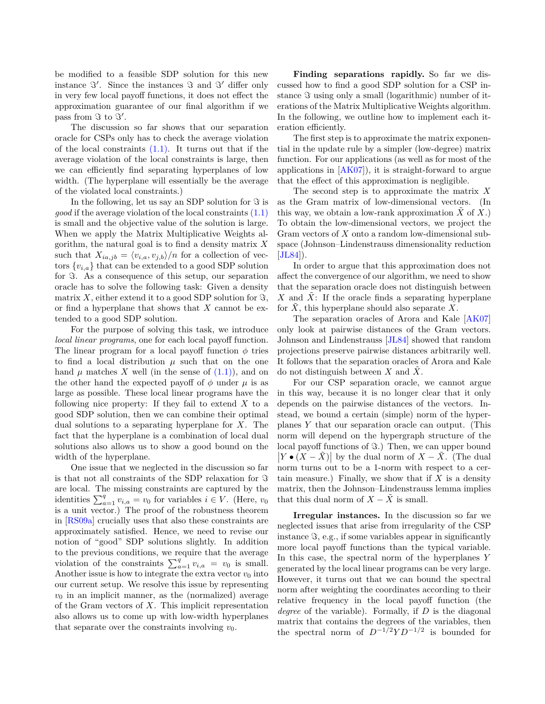be modified to a feasible SDP solution for this new instance  $\Im'$ . Since the instances  $\Im$  and  $\Im'$  differ only in very few local payoff functions, it does not effect the approximation guarantee of our final algorithm if we pass from  $\Im$  to  $\Im'$ .

The discussion so far shows that our separation oracle for CSPs only has to check the average violation of the local constraints  $(1.1)$ . It turns out that if the average violation of the local constraints is large, then we can efficiently find separating hyperplanes of low width. (The hyperplane will essentially be the average of the violated local constraints.)

In the following, let us say an SDP solution for  $\Im$  is *good* if the average violation of the local constraints  $(1.1)$ is small and the objective value of the solution is large. When we apply the Matrix Multiplicative Weights algorithm, the natural goal is to find a density matrix *X* such that  $X_{ia,jb} = \langle v_{i,a}, v_{j,b} \rangle / n$  for a collection of vectors  $\{v_{i,a}\}\$ that can be extended to a good SDP solution for  $\Im$ . As a consequence of this setup, our separation oracle has to solve the following task: Given a density matrix *X*, either extend it to a good SDP solution for  $\Im$ , or find a hyperplane that shows that *X* cannot be extended to a good SDP solution.

For the purpose of solving this task, we introduce *local linear programs*, one for each local payoff function. The linear program for a local payoff function  $\phi$  tries to find a local distribution  $\mu$  such that on the one hand  $\mu$  matches  $X$  well (in the sense of  $(1.1)$ ), and on the other hand the expected payoff of  $\phi$  under  $\mu$  is as large as possible. These local linear programs have the following nice property: If they fail to extend *X* to a good SDP solution, then we can combine their optimal dual solutions to a separating hyperplane for *X*. The fact that the hyperplane is a combination of local dual solutions also allows us to show a good bound on the width of the hyperplane.

One issue that we neglected in the discussion so far is that not all constraints of the SDP relaxation for  $\Im$ are local. The missing constraints are captured by the identities  $\sum_{a=1}^{q} v_{i,a} = v_0$  for variables  $i \in V$ . (Here,  $v_0$ is a unit vector.) The proof of the robustness theorem in [\[RS09a\]](#page-11-15) crucially uses that also these constraints are approximately satisfied. Hence, we need to revise our notion of "good" SDP solutions slightly. In addition to the previous conditions, we require that the average violation of the constraints  $\sum_{a=1}^{q} v_{i,a} = v_0$  is small. Another issue is how to integrate the extra vector  $v_0$  into our current setup. We resolve this issue by representing  $v_0$  in an implicit manner, as the (normalized) average of the Gram vectors of *X*. This implicit representation also allows us to come up with low-width hyperplanes that separate over the constraints involving  $v_0$ .

**Finding separations rapidly.** So far we discussed how to find a good SDP solution for a CSP instance  $\Im$  using only a small (logarithmic) number of iterations of the Matrix Multiplicative Weights algorithm. In the following, we outline how to implement each iteration efficiently.

The first step is to approximate the matrix exponential in the update rule by a simpler (low-degree) matrix function. For our applications (as well as for most of the applications in [\[AK07\]](#page-10-6)), it is straight-forward to argue that the effect of this approximation is negligible.

The second step is to approximate the matrix *X* as the Gram matrix of low-dimensional vectors. (In this way, we obtain a low-rank approximation  $X$  of  $X$ .) To obtain the low-dimensional vectors, we project the Gram vectors of *X* onto a random low-dimensional subspace (Johnson–Lindenstrauss dimensionality reduction  $[JL84]$ .

In order to argue that this approximation does not affect the convergence of our algorithm, we need to show that the separation oracle does not distinguish between X and X: If the oracle finds a separating hyperplane for  $\tilde{X}$ , this hyperplane should also separate  $X$ .

The separation oracles of Arora and Kale [\[AK07\]](#page-10-6) only look at pairwise distances of the Gram vectors. Johnson and Lindenstrauss [\[JL84\]](#page-11-20) showed that random projections preserve pairwise distances arbitrarily well. It follows that the separation oracles of Arora and Kale do not distinguish between *X* and  $\tilde{X}$ .

For our CSP separation oracle, we cannot argue in this way, because it is no longer clear that it only depends on the pairwise distances of the vectors. Instead, we bound a certain (simple) norm of the hyperplanes *Y* that our separation oracle can output. (This norm will depend on the hypergraph structure of the local payoff functions of  $\Im$ .) Then, we can upper bound  $|Y \bullet (X - \tilde{X})|$  by the dual norm of  $X - \tilde{X}$ . (The dual norm turns out to be a 1-norm with respect to a certain measure.) Finally, we show that if *X* is a density matrix, then the Johnson–Lindenstrauss lemma implies that this dual norm of  $X - \tilde{X}$  is small.

**Irregular instances.** In the discussion so far we neglected issues that arise from irregularity of the CSP instance  $\Im$ , e.g., if some variables appear in significantly more local payoff functions than the typical variable. In this case, the spectral norm of the hyperplanes *Y* generated by the local linear programs can be very large. However, it turns out that we can bound the spectral norm after weighting the coordinates according to their relative frequency in the local payoff function (the *degree* of the variable). Formally, if *D* is the diagonal matrix that contains the degrees of the variables, then the spectral norm of *D<sup>−</sup>*1*/*<sup>2</sup>*Y D<sup>−</sup>*1*/*<sup>2</sup> is bounded for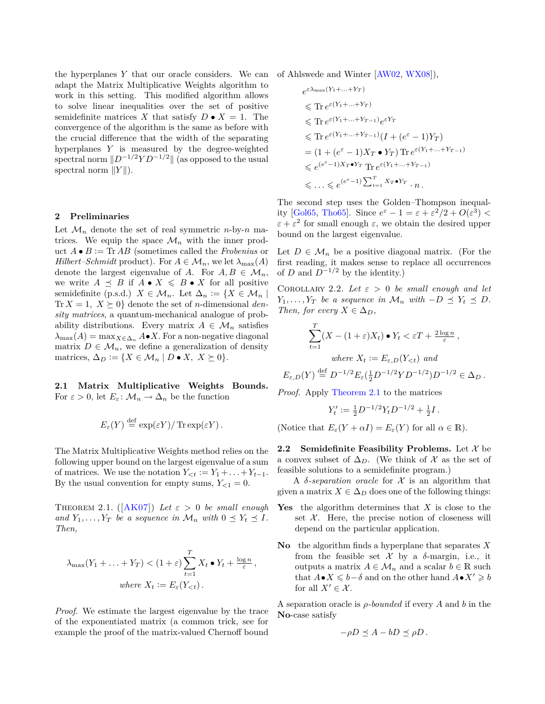the hyperplanes *Y* that our oracle considers. We can adapt the Matrix Multiplicative Weights algorithm to work in this setting. This modified algorithm allows to solve linear inequalities over the set of positive semidefinite matrices *X* that satisfy  $D \bullet X = 1$ . The convergence of the algorithm is the same as before with the crucial difference that the width of the separating hyperplanes *Y* is measured by the degree-weighted spectral norm  $||D^{-1/2}YD^{-1/2}||$  (as opposed to the usual spectral norm  $||Y||$ ).

#### <span id="page-4-0"></span>**2 Preliminaries**

Let  $\mathcal{M}_n$  denote the set of real symmetric *n*-by-*n* matrices. We equip the space  $\mathcal{M}_n$  with the inner product  $A \bullet B := \text{Tr } AB$  (sometimes called the *Frobenius* or *Hilbert–Schmidt* product). For  $A \in \mathcal{M}_n$ , we let  $\lambda_{\max}(A)$ denote the largest eigenvalue of *A*. For  $A, B \in \mathcal{M}_n$ , we write  $A \preceq B$  if  $A \bullet X \leq B \bullet X$  for all positive semidefinite (p.s.d.)  $X \in \mathcal{M}_n$ . Let  $\Delta_n := \{X \in \mathcal{M}_n \mid$  $\text{Tr } X = 1, X \succeq 0$  denote the set of *n*-dimensional *density matrices*, a quantum-mechanical analogue of probability distributions. Every matrix  $A \in \mathcal{M}_n$  satisfies  $\lambda_{\max}(A) = \max_{X \in \Delta_n} A \cdot X$ . For a non-negative diagonal matrix  $D \in \mathcal{M}_n$ , we define a generalization of density matrices,  $\Delta_D := \{ X \in \mathcal{M}_n \mid D \bullet X, X \succeq 0 \}.$ 

**2.1 Matrix Multiplicative Weights Bounds.** For  $\varepsilon > 0$ , let  $E_{\varepsilon} : \mathcal{M}_n \to \Delta_n$  be the function

$$
E_{\varepsilon}(Y) \stackrel{\text{def}}{=} \exp(\varepsilon Y) / \operatorname{Tr} \exp(\varepsilon Y).
$$

The Matrix Multiplicative Weights method relies on the following upper bound on the largest eigenvalue of a sum of matrices. We use the notation  $Y_{\leq t} := Y_1 + \ldots + Y_{t-1}$ . By the usual convention for empty sums,  $Y_{\leq 1} = 0$ .

THEOREM 2.1.  $(|AK07|)$  *Let*  $\varepsilon > 0$  *be small enough and*  $Y_1, \ldots, Y_T$  *be a sequence in*  $\mathcal{M}_n$  *with*  $0 \leq Y_t \leq I$ *. Then,*

$$
\lambda_{\max}(Y_1 + \ldots + Y_T) < (1 + \varepsilon) \sum_{t=1}^T X_t \bullet Y_t + \frac{\log n}{\varepsilon} \,,
$$
\n
$$
where \ X_t := E_{\varepsilon}(Y_{\leq t}) \,.
$$

*Proof.* We estimate the largest eigenvalue by the trace of the exponentiated matrix (a common trick, see for example the proof of the matrix-valued Chernoff bound

of Ahlswede and Winter [\[AW02,](#page-10-9) [WX08\]](#page-11-21)),

$$
e^{\varepsilon \lambda_{\max}(Y_1 + \dots + Y_T)}
$$
  
\n
$$
\leq \text{Tr } e^{\varepsilon (Y_1 + \dots + Y_T)}
$$
  
\n
$$
\leq \text{Tr } e^{\varepsilon (Y_1 + \dots + Y_{T-1})} e^{\varepsilon Y_T}
$$
  
\n
$$
\leq \text{Tr } e^{\varepsilon (Y_1 + \dots + Y_{T-1})} (I + (e^{\varepsilon} - 1) Y_T)
$$
  
\n
$$
= (1 + (e^{\varepsilon} - 1) X_T \bullet Y_T) \text{Tr } e^{\varepsilon (Y_1 + \dots + Y_{T-1})}
$$
  
\n
$$
\leq e^{(e^{\varepsilon} - 1) X_T \bullet Y_T} \text{Tr } e^{\varepsilon (Y_1 + \dots + Y_{T-1})}
$$
  
\n
$$
\leq \dots \leq e^{(e^{\varepsilon} - 1) \sum_{t=1}^{T} X_T \bullet Y_T} \cdot n.
$$

The second step uses the Golden–Thompson inequal-ity [\[Gol65,](#page-11-22) [Tho65\]](#page-11-23). Since  $e^{\varepsilon} - 1 = \varepsilon + \varepsilon^2/2 + O(\varepsilon^3)$  $\varepsilon + \varepsilon^2$  for small enough  $\varepsilon$ , we obtain the desired upper bound on the largest eigenvalue.

Let  $D \in \mathcal{M}_n$  be a positive diagonal matrix. (For the first reading, it makes sense to replace all occurrences of *D* and  $D^{-1/2}$  by the identity.)

COROLLARY 2.2. Let  $\varepsilon > 0$  be small enough and let *Y*<sub>1</sub>*,...,Y*<sup>*T*</sup> *be a sequence in*  $\mathcal{M}_n$  *with*  $-D \leq Y_t \leq D$ *. Then, for every*  $X \in \Delta_D$ *,* 

$$
\sum_{t=1}^{T} (X - (1 + \varepsilon)X_t) \bullet Y_t < \varepsilon T + \frac{2\log n}{\varepsilon} \,,
$$
\n
$$
where \ X_t := E_{\varepsilon,D}(Y_{< t}) \ and
$$
\n
$$
E_{\varepsilon,D}(Y) \stackrel{\text{def}}{=} D^{-1/2} E_{\varepsilon}(\frac{1}{2}D^{-1/2}YD^{-1/2})D^{-1/2} \in \Delta_D \,.
$$

*Proof.* Apply [Theorem 2.1](#page-1-0) to the matrices

$$
Y'_t \mathrel{\mathop:}= \tfrac{1}{2} D^{-1/2} Y_t D^{-1/2} + \tfrac{1}{2} I \,.
$$

(Notice that  $E_{\varepsilon}(Y + \alpha I) = E_{\varepsilon}(Y)$  for all  $\alpha \in \mathbb{R}$ ).

<span id="page-4-1"></span>**2.2 Semidefinite Feasibility Problems.** Let *X* be a convex subset of  $\Delta_D$ . (We think of  $\mathcal X$  as the set of feasible solutions to a semidefinite program.)

A *δ-separation oracle* for *X* is an algorithm that given a matrix  $X \in \Delta_D$  does one of the following things:

- **Yes** the algorithm determines that *X* is close to the set  $X$ . Here, the precise notion of closeness will depend on the particular application.
- **No** the algorithm finds a hyperplane that separates *X* from the feasible set  $\mathcal X$  by a  $\delta$ -margin, i.e., it outputs a matrix  $A \in \mathcal{M}_n$  and a scalar  $b \in \mathbb{R}$  such that  $A \bullet X \leq b - \delta$  and on the other hand  $A \bullet X' \geq b$ for all  $X' \in \mathcal{X}$ .

A separation oracle is *ρ-bounded* if every *A* and *b* in the **No**-case satisfy

$$
-\rho D \preceq A - bD \preceq \rho D.
$$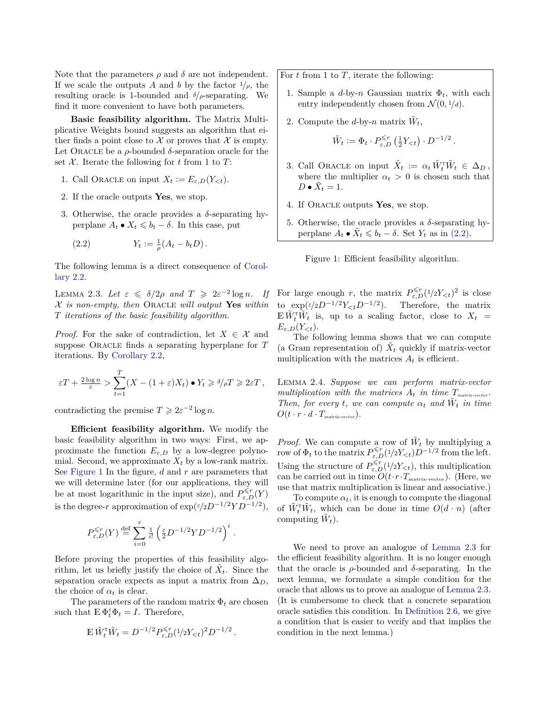Note that the parameters  $\rho$  and  $\delta$  are not independent. If we scale the outputs *A* and *b* by the factor  $\frac{1}{\rho}$ , the resulting oracle is 1-bounded and *<sup>δ</sup>/ρ*-separating. We find it more convenient to have both parameters.

**Basic feasibility algorithm.** The Matrix Multiplicative Weights bound suggests an algorithm that either finds a point close to  $\mathcal X$  or proves that  $\mathcal X$  is empty. Let ORACLE be a  $\rho$ -bounded  $\delta$ -separation oracle for the set  $X$ . Iterate the following for  $t$  from 1 to  $T$ :

- 1. Call ORACLE on input  $X_t := E_{\varepsilon,D}(Y_{\leq t})$ .
- 2. If the oracle outputs **Yes**, we stop.
- 3. Otherwise, the oracle provides a *δ*-separating hyperplane  $A_t \bullet X_t \leq b_t - \delta$ . In this case, put

<span id="page-5-2"></span><span id="page-5-1"></span>(2.2) 
$$
Y_t := \frac{1}{\rho} (A_t - b_t D).
$$

The following lemma is a direct consequence of [Corol](#page-1-1)[lary 2.2.](#page-1-1)

LEMMA 2.3. Let  $\varepsilon \leq \delta/2\rho$  and  $T \geq 2\varepsilon^{-2} \log n$ . If *X is non-empty, then* Oracle *will output* **Yes** *within T iterations of the basic feasibility algorithm.*

*Proof.* For the sake of contradiction, let  $X \in \mathcal{X}$  and suppose ORACLE finds a separating hyperplane for T iterations. By [Corollary 2.2,](#page-1-1)

$$
\varepsilon T + \frac{2\log n}{\varepsilon} > \sum_{t=1}^T (X - (1+\varepsilon)X_t) \bullet Y_t \geq \delta/\rho T \geq 2\varepsilon T,
$$

contradicting the premise  $T \ge 2\varepsilon^{-2} \log n$ .

**Efficient feasibility algorithm.** We modify the basic feasibility algorithm in two ways: First, we approximate the function  $E_{\varepsilon,D}$  by a low-degree polynomial. Second, we approximate  $X_t$  by a low-rank matrix. See [Figure 1](#page-5-0) In the figure, *d* and *r* are parameters that we will determine later (for our applications, they will be at most logarithmic in the input size), and  $P_{\varepsilon,D}^{\leq r}(Y)$ is the degree-*r* approximation of  $\exp(\epsilon/2D^{-1/2}YD^{-1/2})$ ,

$$
P^{\leqslant r}_{\varepsilon,D}(Y)\stackrel{\mathrm{def}}{=}\sum_{i=0}^r \tfrac{1}{i!}\left(\tfrac{\varepsilon}{2}D^{-1/2}YD^{-1/2}\right)^i
$$

*.*

Before proving the properties of this feasibility algorithm, let us briefly justify the choice of  $\tilde{X}_t$ . Since the separation oracle expects as input a matrix from  $\Delta_D$ , the choice of  $\alpha_t$  is clear.

The parameters of the random matrix  $\Phi_t$  are chosen such that  $\mathbb{E} \Phi_t^{\mathsf{T}} \Phi_t = I$ . Therefore,

$$
\mathbb{E}\,\tilde{W}_t^\mathrm{T}\tilde{W}_t = D^{-1/2}P_{\varepsilon,D}^{\leqslant r}(\mathbf{1}/2Y_{
$$

For *t* from 1 to *T*, iterate the following:

- 1. Sample a  $d$ -by- $n$  Gaussian matrix  $\Phi_t$ , with each entry independently chosen from  $\mathcal{N}(0, 1/d)$ .
- 2. Compute the *d*-by-*n* matrix  $\tilde{W}_t$ ,

$$
\tilde{W}_t := \Phi_t \cdot P_{\varepsilon,D}^{\leq r} \left( \frac{1}{2} Y_{\leq t} \right) \cdot D^{-1/2}.
$$

- 3. Call ORACLE on input  $\tilde{X}_t := \alpha_t \tilde{W}_t^{\mathsf{T}} \tilde{W}_t \in \Delta_D$ , where the multiplier  $\alpha_t > 0$  is chosen such that  $D \bullet \tilde{X}_t = 1.$
- 4. If Oracle outputs **Yes**, we stop.
- 5. Otherwise, the oracle provides a *δ*-separating hyperplane  $A_t \bullet \tilde{X}_t \leqslant b_t - \delta$ . Set  $Y_t$  as in [\(2.2\).](#page-5-1)

<span id="page-5-3"></span><span id="page-5-0"></span>Figure 1: Efficient feasibility algorithm.

For large enough *r*, the matrix  $P_{\varepsilon,D}^{\leq r}(1/2Y_{\leq t})^2$  is close to  $\exp(\epsilon/2D^{-1/2}Y_{\leq t}D^{-1/2})$ . Therefore, the matrix  $\mathbb{E} \tilde{W}_t^{\mathsf{T}} \tilde{W}_t$  is, up to a scaling factor, close to  $X_t =$  $E_{\varepsilon,D}(Y_{\leq t}).$ 

The following lemma shows that we can compute (a Gram representation of)  $\tilde{X}_t$  quickly if matrix-vector multiplication with the matrices  $A_t$  is efficient.

Lemma 2.4. *Suppose we can perform matrix-vector multiplication with the matrices*  $A_t$  *in time*  $T_{matrix-vector}$ . *Then, for every t, we can compute*  $\alpha_t$  *and*  $\tilde{W}_t$  *in time*  $O(t \cdot r \cdot d \cdot T_{matrix-vector})$ .

*Proof.* We can compute a row of  $\tilde{W}_t$  by multiplying a row of  $\Phi_t$  to the matrix  $P_{\varepsilon,D}^{\leq r}(\frac{1}{2}Y_{ from the left.$ Using the structure of  $P_{\varepsilon,D}^{\leq r}(1/2Y_{< t})$ , this multiplication can be carried out in time  $O(t \cdot r \cdot T_{\text{matrix-vector}})$ . (Here, we use that matrix multiplication is linear and associative.)

To compute  $\alpha_t$ , it is enough to compute the diagonal of  $\tilde{W}_t^{\mathsf{T}} \tilde{W}_t$ , which can be done in time  $O(d \cdot n)$  (after computing  $\tilde{W}_t$ ).

We need to prove an analogue of [Lemma 2.3](#page-5-2) for the efficient feasibility algorithm. It is no longer enough that the oracle is  $\rho$ -bounded and  $\delta$ -separating. In the next lemma, we formulate a simple condition for the oracle that allows us to prove an analogue of [Lemma 2.3.](#page-5-2) (It is cumbersome to check that a concrete separation oracle satisfies this condition. In [Definition 2.6,](#page-6-1) we give a condition that is easier to verify and that implies the condition in the next lemma.)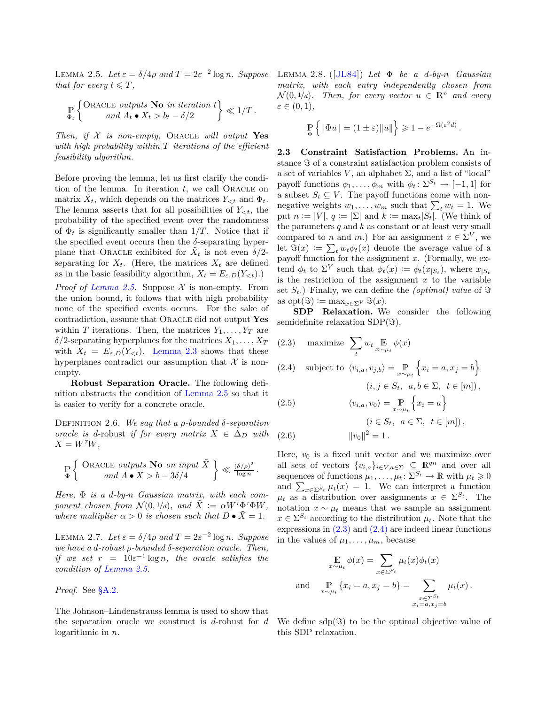<span id="page-6-2"></span>LEMMA 2.5. Let  $\varepsilon = \delta/4\rho$  and  $T = 2\varepsilon^{-2}\log n$ . Suppose *that for every*  $t \leq T$ ,

$$
\Pr_{\Phi_t} \left\{ \begin{matrix} \text{ORACLE outputs } \textbf{No} \text{ in iteration } t \\ \text{ and } A_t \bullet X_t > b_t - \delta/2 \end{matrix} \right\} \ll 1/T \,.
$$

*Then, if*  $X$  *is non-empty,* ORACLE *will output* Yes *with high probability within T iterations of the efficient feasibility algorithm.*

Before proving the lemma, let us first clarify the condition of the lemma. In iteration  $t$ , we call ORACLE on matrix  $\tilde{X}_t$ , which depends on the matrices  $Y_{\leq t}$  and  $\Phi_t$ . The lemma asserts that for all possibilities of  $Y_{\leq t}$ , the probability of the specified event over the randomness of  $\Phi_t$  is significantly smaller than  $1/T$ . Notice that if the specified event occurs then the  $\delta$ -separating hyperplane that ORACLE exhibited for  $\tilde{X}_t$  is not even  $\delta/2$ separating for  $X_t$ . (Here, the matrices  $X_t$  are defined as in the basic feasibility algorithm,  $X_t = E_{\varepsilon,D}(Y_{\leq t})$ .

*Proof of [Lemma 2.5.](#page-6-2)* Suppose  $X$  is non-empty. From the union bound, it follows that with high probability none of the specified events occurs. For the sake of contradiction, assume that Oracle did not output **Yes** within *T* iterations. Then, the matrices  $Y_1, \ldots, Y_T$  are  $\delta/2$ -separating hyperplanes for the matrices  $X_1, \ldots, X_T$ with  $X_t = E_{\varepsilon,D}(Y_{\leq t})$ . [Lemma 2.3](#page-5-2) shows that these hyperplanes contradict our assumption that  $\mathcal X$  is nonempty.

**Robust Separation Oracle.** The following definition abstracts the condition of [Lemma 2.5](#page-6-2) so that it is easier to verify for a concrete oracle.

DEFINITION 2.6. *We say that a ρ-bounded*  $δ$ -separation *oracle is d*-robust *if for every matrix*  $X \in \Delta_D$  *with*  $X = W^{T}W$ ,

$$
\mathbb{P}\left\{\begin{array}{c}\text{ORACLE outputs } \textbf{No} \text{ on input } \tilde{X}\\ \text{ and } A \bullet X > b - 3\delta/4 \end{array}\right\} \ll \frac{(\delta/\rho)^2}{\log n}.
$$

*Here,* Φ *is a d-by-n Gaussian matrix, with each component chosen from*  $\mathcal{N}(0, 1/d)$ *, and*  $\tilde{X} := \alpha W^{\tau} \Phi^{\tau} \Phi W$ *, where multiplier*  $\alpha > 0$  *is chosen such that*  $D \bullet X = 1$ *.* 

<span id="page-6-8"></span>LEMMA 2.7. *Let*  $\varepsilon = \delta/4\rho$  *and*  $T = 2\varepsilon^{-2} \log n$ *. Suppose we have a d-robust ρ-bounded δ-separation oracle. Then, if we set*  $r = 10\varepsilon^{-1} \log n$ , the oracle satisfies the *condition of [Lemma 2.5.](#page-6-2)*

*Proof.* See [§A.2.](#page-11-24)

<span id="page-6-7"></span>The Johnson–Lindenstrauss lemma is used to show that the separation oracle we construct is *d*-robust for *d* logarithmic in *n*.

Lemma 2.8. ([\[JL84\]](#page-11-20)) *Let* Φ *be a d-by-n Gaussian matrix, with each entry independently chosen from*  $\mathcal{N}(0, 1/d)$ *. Then, for every vector*  $u \in \mathbb{R}^n$  *and every ε ∈* (0*,* 1)*,*

$$
\mathop{\mathbb{P}}_{\Phi}\left\{\|\Phi u\|=(1\pm\varepsilon)\|u\|\right\}\geqslant 1-e^{-\Omega(\varepsilon^2d)}.
$$

<span id="page-6-0"></span>**2.3 Constraint Satisfaction Problems.** An instance  $\Im$  of a constraint satisfaction problem consists of a set of variables  $V$ , an alphabet  $\Sigma$ , and a list of "local" payoff functions  $\phi_1, \ldots, \phi_m$  with  $\phi_t \colon \Sigma^{S_t} \to [-1, 1]$  for a subset  $S_t \subseteq V$ . The payoff functions come with nonnegative weights  $w_1, \ldots, w_m$  such that  $\sum_t w_t = 1$ . We put  $n := |V|, q := |\Sigma|$  and  $k := \max_{t} |S_t|$ . (We think of the parameters  $q$  and  $k$  as constant or at least very small compared to *n* and *m*.) For an assignment  $x \in \Sigma^V$ , we let  $\Im(x) := \sum_t w_t \phi_t(x)$  denote the average value of a payoff function for the assignment *x*. (Formally, we extend  $\phi_t$  to  $\Sigma^V$  such that  $\phi_t(x) := \phi_t(x_{|S_t})$ , where  $x_{|S_t}$ is the restriction of the assignment  $x$  to the variable set  $S_t$ .) Finally, we can define the *(optimal) value* of  $\Im$ as  $opt(\Im) := \max_{x \in \Sigma^V} \Im(x)$ .

**SDP Relaxation.** We consider the following semidefinite relaxation SDP( $\Im$ ),

<span id="page-6-5"></span><span id="page-6-4"></span><span id="page-6-3"></span>(2.3) maximize 
$$
\sum_{t} w_{t} \mathop{\mathbb{E}}_{x \sim \mu_{t}} \phi(x)
$$
  
(2.4) subject to  $\langle v_{i,a}, v_{j,b} \rangle = \mathop{\mathbb{P}}_{x \sim \mu_{t}} \left\{ x_{i} = a, x_{j} = b \right\}$   
( $i, j \in S_{t}, a, b \in \Sigma, t \in [m]$ ),  
(2.5)  $\langle v_{i,a}, v_{0} \rangle = \mathop{\mathbb{P}}_{x \sim \mu_{t}} \left\{ x_{i} = a \right\}$   
( $i \in S_{t}, a \in \Sigma, t \in [m]$ ),  
(2.6)  $||v_{0}||^{2} = 1$ .

<span id="page-6-6"></span><span id="page-6-1"></span>Here,  $v_0$  is a fixed unit vector and we maximize over all sets of vectors  $\{v_{i,a}\}_{i\in V, a\in\Sigma} \subseteq \mathbb{R}^{qn}$  and over all sequences of functions  $\mu_1, \ldots, \mu_t \colon \Sigma^{S_t} \to \mathbb{R}$  with  $\mu_t \geq 0$ and  $\sum_{x \in \Sigma^{S_t}} \mu_t(x) = 1$ . We can interpret a function  $\mu_t$  as a distribution over assignments  $x \in \Sigma^{S_t}$ . The notation  $x \sim \mu_t$  means that we sample an assignment  $x \in \Sigma^{S_t}$  according to the distribution  $\mu_t$ . Note that the expressions in  $(2.3)$  and  $(2.4)$  are indeed linear functions in the values of  $\mu_1, \ldots, \mu_m$ , because

$$
\mathbb{E}_{x \sim \mu_t} \phi(x) = \sum_{x \in \Sigma^{S_t}} \mu_t(x)\phi_t(x)
$$
  
and 
$$
\mathbb{P}_{x \sim \mu_t} \{x_i = a, x_j = b\} = \sum_{\substack{x \in \Sigma^{S_t} \\ x_i = a, x_j = b}} \mu_t(x).
$$

We define  $\text{sdp}(\Im)$  to be the optimal objective value of this SDP relaxation.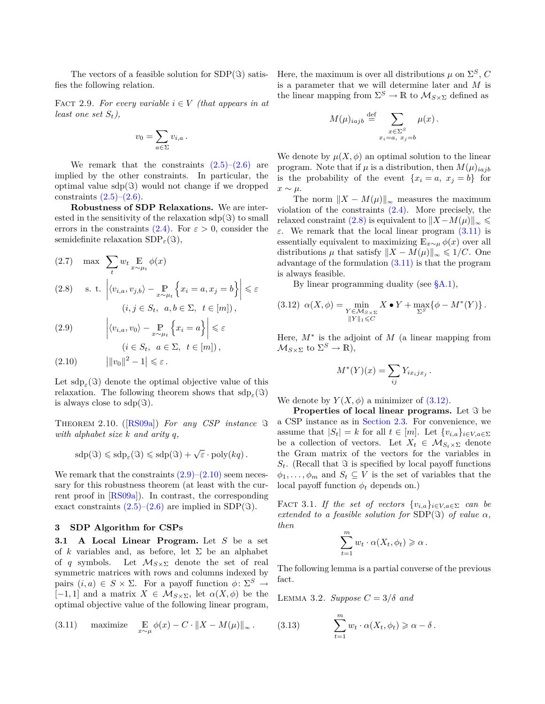The vectors of a feasible solution for SDP( $\Im$ ) satisfies the following relation.

FACT 2.9. For every variable  $i \in V$  (that appears in at *least one set St),*

<span id="page-7-6"></span>
$$
v_0 = \sum_{a \in \Sigma} v_{i,a} \, .
$$

We remark that the constraints  $(2.5)$ – $(2.6)$  are implied by the other constraints. In particular, the optimal value  $\text{sdp}(\Im)$  would not change if we dropped constraints  $(2.5)$ – $(2.6)$ .

**Robustness of SDP Relaxations.** We are interested in the sensitivity of the relaxation  $\text{sdp}(\Im)$  to small errors in the constraints  $(2.4)$ . For  $\varepsilon > 0$ , consider the semidefinite relaxation  $SDP_{\varepsilon}(\Im),$ 

<span id="page-7-2"></span>(2.7) max 
$$
\sum_{t} w_t \mathop{\mathbb{E}}_{x \sim \mu_t} \phi(x)
$$
  
\n(2.8) s. t.  $\left| \langle v_{i,a}, v_{j,b} \rangle - \mathop{\mathbb{P}}_{x \sim \mu_t} \left\{ x_i = a, x_j = b \right\} \right| \le \varepsilon$   
\n(i, j \in S\_t, a, b \in \Sigma, t \in [m]),  
\n(2.9)  $\left| \langle v_{i,a}, v_0 \rangle - \mathop{\mathbb{P}}_{x \sim \mu_t} \left\{ x_i = a \right\} \right| \le \varepsilon$ 

<span id="page-7-1"></span><span id="page-7-0"></span>
$$
(i \in S_t, \ a \in \Sigma, \ t \in [m]),
$$
  

$$
(2.10) \qquad |||v_0||^2 - 1| \leq \varepsilon.
$$

Let  $\text{sdp}_{\varepsilon}(\Im)$  denote the optimal objective value of this relaxation. The following theorem shows that  $\text{sdp}_{\varepsilon}(\Im)$ is always close to  $\text{sdp}(\Im)$ .

<span id="page-7-7"></span>THEOREM 2.10.  $([RS09a])$  $([RS09a])$  $([RS09a])$  *For any CSP instance*  $\Im$ *with alphabet size k and arity q,*

$$
\mathrm{sdp}(\Im) \leqslant \mathrm{sdp}_{\varepsilon}(\Im) \leqslant \mathrm{sdp}(\Im) + \sqrt{\varepsilon} \cdot \mathrm{poly}(kq).
$$

We remark that the constraints  $(2.9)$ – $(2.10)$  seem necessary for this robustness theorem (at least with the current proof in [\[RS09a\]](#page-11-15)). In contrast, the corresponding exact constraints  $(2.5)$ – $(2.6)$  are implied in SDP( $\Im$ ).

#### **3 SDP Algorithm for CSPs**

**3.1 A Local Linear Program.** Let *S* be a set of *k* variables and, as before, let  $\Sigma$  be an alphabet of *q* symbols. Let  $M_{S\times\Sigma}$  denote the set of real symmetric matrices with rows and columns indexed by pairs  $(i, a) \in S \times \Sigma$ . For a payoff function  $\phi \colon \Sigma^S \to$ [*−*1*,* 1] and a matrix *X ∈ MS×*Σ, let *α*(*X, φ*) be the optimal objective value of the following linear program,

<span id="page-7-3"></span>(3.11) maximize 
$$
\mathbb{E}_{x \sim \mu} \phi(x) - C \cdot ||X - M(\mu)||_{\infty}
$$
.

Here, the maximum is over all distributions  $\mu$  on  $\Sigma^S$ , *C* is a parameter that we will determine later and *M* is the linear mapping from  $\Sigma^S \to \mathbb{R}$  to  $\mathcal{M}_{S \times \Sigma}$  defined as

$$
M(\mu)_{iajb} \stackrel{\text{def}}{=} \sum_{\substack{x \in \Sigma^S \\ x_i = a, \ x_j = b}} \mu(x) \, .
$$

We denote by  $\mu(X, \phi)$  an optimal solution to the linear program. Note that if  $\mu$  is a distribution, then  $M(\mu)_{i}$ is the probability of the event  $\{x_i = a, x_j = b\}$  for *x ∼ µ*.

The norm  $\|X - M(\mu)\|_{\infty}$  measures the maximum violation of the constraints  $(2.4)$ . More precisely, the relaxed constraint [\(2.8\)](#page-7-2) is equivalent to  $||X - M(\mu)||_{\infty}$ *ε*. We remark that the local linear program  $(3.11)$  is essentially equivalent to maximizing  $\mathbb{E}_{x \sim \mu} \phi(x)$  over all distributions  $\mu$  that satisfy  $\|X - M(\mu)\|_{\infty} \leq 1/C$ . One advantage of the formulation [\(3.11\)](#page-7-3) is that the program is always feasible.

<span id="page-7-4"></span>By linear programming duality (see [§A.1\)](#page-11-25),

$$
(3.12) \ \alpha(X,\phi) = \min_{\substack{Y \in \mathcal{M}_{S \times \Sigma} \\ ||Y||_1 \leqslant C}} X \bullet Y + \max_{\Sigma^S} \{ \phi - M^*(Y) \} .
$$

Here, *M<sup>∗</sup>* is the adjoint of *M* (a linear mapping from  $\mathcal{M}_{S\times\Sigma}$  to  $\Sigma^S \to \mathbb{R}$ ),

$$
M^*(Y)(x) = \sum_{ij} Y_{ix_ijx_j}.
$$

We denote by  $Y(X, \phi)$  a minimizer of  $(3.12)$ .

**Properties of local linear programs.** Let  $\Im$  be a CSP instance as in [Section 2.3.](#page-6-0) For convenience, we assume that  $|S_t| = k$  for all  $t \in [m]$ . Let  $\{v_{i,a}\}_{i \in V, a \in \Sigma}$ be a collection of vectors. Let  $X_t \in \mathcal{M}_{S_t \times \Sigma}$  denote the Gram matrix of the vectors for the variables in  $S_t$ . (Recall that  $\Im$  is specified by local payoff functions  $\phi_1, \ldots, \phi_m$  and  $S_t \subseteq V$  is the set of variables that the local payoff function  $\phi_t$  depends on.)

FACT 3.1. *If the set of vectors*  $\{v_{i,a}\}_{i\in V, a\in\Sigma}$  *can be*  $extended to a feasible solution for SDP(\Im) of value \alpha$ , *then*

$$
\sum_{t=1}^m w_t \cdot \alpha(X_t, \phi_t) \geqslant \alpha \, .
$$

The following lemma is a partial converse of the previous fact.

LEMMA 3.2. *Suppose*  $C = 3/\delta$  *and* 

<span id="page-7-5"></span>(3.13) 
$$
\sum_{t=1}^{m} w_t \cdot \alpha(X_t, \phi_t) \geq \alpha - \delta.
$$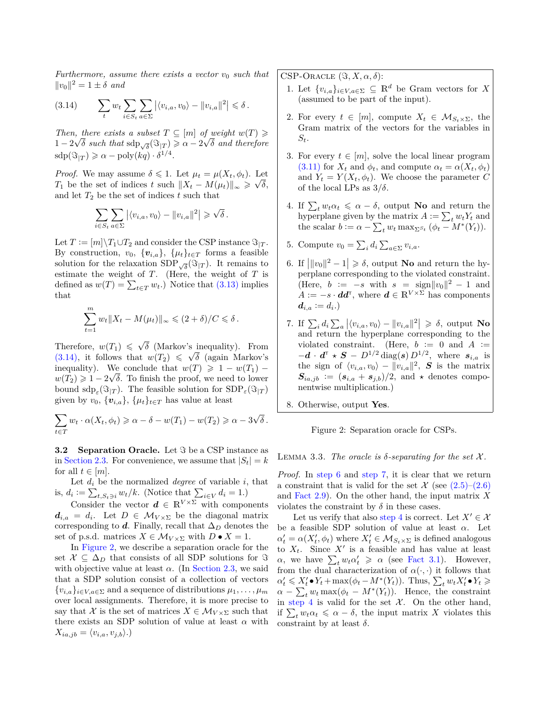*Furthermore, assume there exists a vector*  $v_0$  *such that*  $||v_0||^2 = 1 \pm \delta$  *and* 

<span id="page-8-0"></span>(3.14) 
$$
\sum_{t} w_t \sum_{i \in S_t} \sum_{a \in \Sigma} |\langle v_{i,a}, v_0 \rangle - ||v_{i,a}||^2| \leq \delta.
$$

*Then, there exists a subset*  $T \subseteq [m]$  *of weight*  $w(T) \geq$  $1 - 2\sqrt{δ}$  *such that*  $\text{sdp}\sqrt{δ}(\Im \gamma) \geqslant \alpha - 2\sqrt{δ}$  *and therefore*  $\text{sdp}(\Im_{|T}) \geq \alpha - \text{poly}(kq) \cdot \delta^{1/4}.$ 

*Proof.* We may assume  $\delta \leq 1$ . Let  $\mu_t = \mu(X_t, \phi_t)$ . Let *T*<sub>1</sub> be the set of indices *t* such  $||X_t - M(\mu_t)||_{\infty} \geqslant \sqrt{\delta}$ , and let  $T_2$  be the set of indices  $t$  such that

$$
\sum_{i \in S_t} \sum_{a \in \Sigma} |\langle v_{i,a}, v_0 \rangle - ||v_{i,a}||^2| \geq \sqrt{\delta}.
$$

Let  $T := [m] \setminus T_1 \cup T_2$  and consider the CSP instance  $\Im_T$ . By construction,  $v_0$ ,  $\{v_{i,a}\}$ ,  $\{\mu_t\}_{t \in T}$  forms a feasible solution for the relaxation  $SDP_{\sqrt{\delta}}(\Im_{|T})$ . It remains to estimate the weight of *T*. (Here, the weight of *T* is defined as  $w(T) = \sum_{t \in T} w_t$ .) Notice that [\(3.13\)](#page-7-5) implies that

$$
\sum_{t=1}^m w_t \|X_t - M(\mu_t)\|_{\infty} \leqslant (2+\delta)/C \leqslant \delta.
$$

Therefore,  $w(T_1) \leqslant \sqrt{}$ *δ* (Markov's inequality). From *√*  $(3.14)$ , it follows that  $w(T_2) \leq \sqrt{\delta}$  (again Markov's inequality). We conclude that  $w(T) \geq 1 - w(T_1) - \frac{1}{2}$  $w(T_2) \geq 1 - 2\sqrt{\delta}$ . To finish the proof, we need to lower bound  $\text{sdp}_{\varepsilon}(\Im_{|T})$ . The feasible solution for  $\text{SDP}_{\varepsilon}(\Im_{|T})$ given by  $v_0$ ,  $\{v_{i,a}\}$ ,  $\{\mu_t\}_{t \in T}$  has value at least

$$
\sum_{t \in T} w_t \cdot \alpha(X_t, \phi_t) \geq \alpha - \delta - w(T_1) - w(T_2) \geq \alpha - 3\sqrt{\delta}.
$$

<span id="page-8-5"></span>**3.2 Separation Oracle.** Let  $\Im$  be a CSP instance as in [Section 2.3.](#page-6-0) For convenience, we assume that  $|S_t| = k$ for all  $t \in [m]$ .

Let  $d_i$  be the normalized *degree* of variable  $i$ , that is,  $d_i := \sum_{t, S_t \ni i} w_t / k$ . (Notice that  $\sum_{i \in V} d_i = 1$ .)

Consider the vector  $\mathbf{d} \in \mathbb{R}^{V \times \Sigma}$  with components  $d_{i,a} = d_i$ . Let  $D \in \mathcal{M}_{V \times \Sigma}$  be the diagonal matrix corresponding to  $d$ . Finally, recall that  $\Delta_D$  denotes the set of p.s.d. matrices  $X \in \mathcal{M}_{V \times \Sigma}$  with  $D \bullet X = 1$ .

In [Figure 2,](#page-8-1) we describe a separation oracle for the set  $X \subseteq \Delta_D$  that consists of all SDP solutions for  $\Im$ with objective value at least  $\alpha$ . (In [Section 2.3,](#page-6-0) we said that a SDP solution consist of a collection of vectors  ${v_{i,a}}_{i \in V, a \in \Sigma}$  and a sequence of distributions  $\mu_1, \ldots, \mu_m$ over local assignments. Therefore, it is more precise to say that *X* is the set of matrices  $X \in \mathcal{M}_{V \times \Sigma}$  such that there exists an SDP solution of value at least *α* with  $X_{ia,jb} = \langle v_{i,a}, v_{j,b} \rangle.$ 

CSP-ORACLE  $(\mathcal{F}, X, \alpha, \delta)$ :

- 1. Let  $\{v_{i,a}\}_{i\in V, a\in \Sigma} \subseteq \mathbb{R}^d$  be Gram vectors for X (assumed to be part of the input).
- 2. For every  $t \in [m]$ , compute  $X_t \in \mathcal{M}_{S_t \times \Sigma}$ , the Gram matrix of the vectors for the variables in *St*.
- 3. For every  $t \in [m]$ , solve the local linear program [\(3.11\)](#page-7-3) for  $X_t$  and  $\phi_t$ , and compute  $\alpha_t = \alpha(X_t, \phi_t)$ and  $Y_t = Y(X_t, \phi_t)$ . We choose the parameter C of the local LPs as  $3/\delta$ .
- <span id="page-8-4"></span>4. If  $\sum_{t} w_t \alpha_t \leq \alpha - \delta$ , output **No** and return the hyperplane given by the matrix  $A := \sum_t w_t Y_t$  and the scalar  $b := \alpha - \sum_t w_t \max_{\Sigma^{S_t}} (\phi_t - M^*(Y_t)).$
- 5. Compute  $v_0 = \sum_i d_i \sum_{a \in \Sigma} v_{i,a}$ .
- <span id="page-8-2"></span>6. If  $\left|\|v_0\|^2 - 1\right| \geq \delta$ , output **No** and return the hyperplane corresponding to the violated constraint. (Here,  $b := -s$  with  $s = \text{sign}||v_0||^2 - 1$  and  $A := -s \cdot dd^{\mathsf{T}}$ , where  $d \in \mathbb{R}^{V \times \Sigma}$  has components  $\boldsymbol{d}_{i,a} \vcentcolon= d_i.$  )
- <span id="page-8-3"></span>7. If  $\sum_{i} d_i \sum_{a} |\langle v_{i,a}, v_0 \rangle - ||v_{i,a}||^2| \geq \delta$ , output **No** and return the hyperplane corresponding to the violated constraint. (Here,  $b := 0$  and  $A :=$  $-d \cdot d^{\mathsf{T}} \star S - D^{1/2} \operatorname{diag}(s) D^{1/2}$ , where *s*<sub>*i,a*</sub> is the sign of  $\langle v_{i,a}, v_0 \rangle - ||v_{i,a}||^2$ , *S* is the matrix  $S_{ia,jb} := (s_{i,a} + s_{j,b})/2$ , and  $\star$  denotes componentwise multiplication.)
- 8. Otherwise, output **Yes**.

<span id="page-8-1"></span>Figure 2: Separation oracle for CSPs.

**LEMMA** 3.3. *The oracle is*  $\delta$ -separating for the set  $\mathcal{X}$ .

*Proof.* In [step 6](#page-8-2) and [step 7,](#page-8-3) it is clear that we return a constraint that is valid for the set  $\mathcal X$  (see  $(2.5)$ – $(2.6)$ ) and [Fact 2.9\)](#page-7-6). On the other hand, the input matrix *X* violates the constraint by  $\delta$  in these cases.

Let us verify that also [step 4](#page-8-4) is correct. Let  $X' \in \mathcal{X}$ be a feasible SDP solution of value at least *α*. Let  $\alpha'_{t} = \alpha(X'_{t}, \phi_{t})$  where  $X'_{t} \in \mathcal{M}_{S_{t} \times \Sigma}$  is defined analogous to  $X_t$ . Since  $X'$  is a feasible and has value at least *α*, we have  $\sum_{t} w_t \alpha_t' \geqslant \alpha$  (see [Fact 3.1\)](#page-1-0). However, from the dual characterization of  $\alpha(\cdot, \cdot)$  it follows that  $\alpha'_t \leqslant X'_t \bullet Y_t + \max(\phi_t - M^*(Y_t)).$  Thus,  $\sum_t w_t X'_t \bullet Y_t \geqslant$  $\alpha - \sum_{t} w_t \max(\phi_t - M^*(Y_t)).$  Hence, the constraint in [step 4](#page-8-4) is valid for the set  $\mathcal{X}$ . On the other hand, if  $\sum_{t} w_t \alpha_t \leq \alpha - \delta$ , the input matrix *X* violates this constraint by at least *δ*.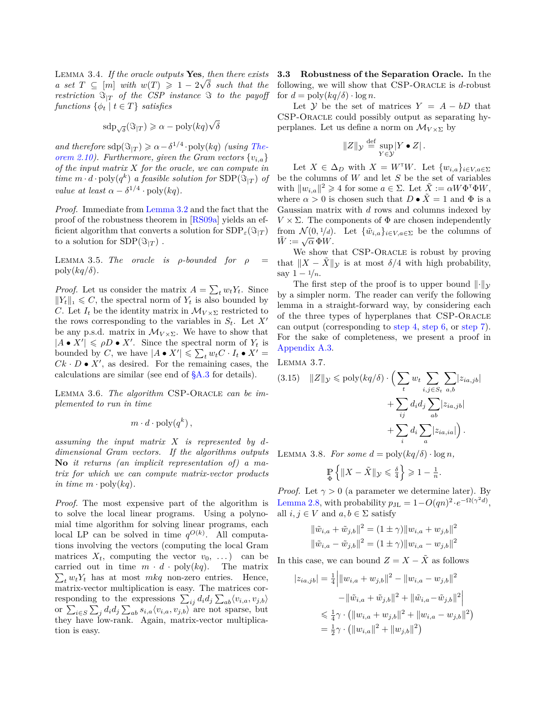LEMMA 3.4. *If the oracle outputs* Yes, *then there exists a* set  $T \subseteq [m]$  with  $w(T) \geq 1 - 2\sqrt{\delta}$  such that the *restriction*  $\Im_{T}$  *of the CSP instance*  $\Im$  *to the payoff functions*  $\{\phi_t \mid t \in T\}$  *satisfies* 

$$
\mathrm{sdp}_{\sqrt{\delta}}(\Im_{|T}) \geq \alpha - \mathrm{poly}(kq) \sqrt{\delta}
$$

 $and$  *therefore*  $\text{sdp}(\mathfrak{S}_{|T}) \geq \alpha - \delta^{1/4} \cdot \text{poly}(kq)$  *(using [The](#page-7-7)[orem 2.10\)](#page-7-7). Furthermore, given the Gram vectors {vi,a} of the input matrix X for the oracle, we can compute in*  $time \ m \cdot d \cdot \text{poly}(q^k)$  *a feasible solution for*  $SDP(\Im_{|T})$  *of value at least*  $\alpha - \delta^{1/4} \cdot \text{poly}(kq)$ .

*Proof.* Immediate from [Lemma 3.2](#page-1-1) and the fact that the proof of the robustness theorem in [\[RS09a\]](#page-11-15) yields an efficient algorithm that converts a solution for  $SDP_{\varepsilon}(\Im_{|T})$ to a solution for  $SDP(\Im_{|T})$ .

LEMMA 3.5. *The oracle is*  $\rho$ *-bounded for*  $\rho$  $poly(kq/\delta)$ .

*Proof.* Let us consider the matrix  $A = \sum_t w_t Y_t$ . Since  $||Y_t||_1 \leq C$ , the spectral norm of  $Y_t$  is also bounded by *C*. Let  $I_t$  be the identity matrix in  $\mathcal{M}_{V \times \Sigma}$  restricted to the rows corresponding to the variables in  $S_t$ . Let  $X'$ be any p.s.d. matrix in  $\mathcal{M}_{V\times\Sigma}$ . We have to show that  $|A \bullet X'| \leq \rho D \bullet X'$ . Since the spectral norm of  $Y_t$  is bounded by *C*, we have  $|A \bullet X'| \le \sum_t w_t C \cdot I_t \bullet X' =$  $Ck \cdot D \bullet X'$ , as desired. For the remaining cases, the calculations are similar (see end of [§A.3](#page-12-0) for details).

Lemma 3.6. *The algorithm* CSP-Oracle *can be implemented to run in time*

$$
m \cdot d \cdot \mathrm{poly}(q^k) \,,
$$

*assuming the input matrix X is represented by ddimensional Gram vectors. If the algorithms outputs* **No** *it returns (an implicit representation of) a matrix for which we can compute matrix-vector products in time*  $m \cdot \text{poly}(kq)$ .

*Proof.* The most expensive part of the algorithm is to solve the local linear programs. Using a polynomial time algorithm for solving linear programs, each local LP can be solved in time  $q^{O(k)}$ . All computations involving the vectors (computing the local Gram matrices  $X_t$ , computing the vector  $v_0$ , ...) can be carried out in time  $m \cdot d \cdot \text{poly}(kq)$ . The matrix  $\sum_{t} w_t Y_t$  has at most  $mkq$  non-zero entries. Hence, matrix-vector multiplication is easy. The matrices corresponding to the expressions  $\sum_{ij} d_i d_j \sum_{ab} \langle v_{i,a}, v_{j,b} \rangle$ or  $\sum_{i \in S} \sum_{j} d_i d_j \sum_{ab} s_{i,a} \langle v_{i,a}, v_{j,b} \rangle$  are not sparse, but they have low-rank. Again, matrix-vector multiplication is easy.

**3.3 Robustness of the Separation Oracle.** In the following, we will show that CSP-ORACLE is *d*-robust for  $d = \text{poly}(kq/\delta) \cdot \log n$ .

Let *Y* be the set of matrices  $Y = A - bD$  that CSP-Oracle could possibly output as separating hyperplanes. Let us define a norm on  $\mathcal{M}_{V\times\Sigma}$  by

$$
||Z||_{\mathcal{Y}} \stackrel{\text{def}}{=} \sup_{Y \in \mathcal{Y}} |Y \bullet Z|.
$$

Let  $X \in \Delta_D$  with  $X = W^{\dagger}W$ . Let  $\{w_{i,a}\}_{i \in V, a \in \Sigma}$ be the columns of *W* and let *S* be the set of variables with  $\|w_{i,a}\|^2 \geq 4$  for some  $a \in \Sigma$ . Let  $\tilde{X} := \alpha W \Phi^{\mathsf{T}} \Phi W$ , where  $\alpha > 0$  is chosen such that  $D \bullet \tilde{X} = 1$  and  $\Phi$  is a Gaussian matrix with *d* rows and columns indexed by  $V \times \Sigma$ . The components of Φ are chosen independently from  $\mathcal{N}(0, 1/d)$ . Let  $\{\tilde{w}_{i,a}\}_{i \in V, a \in \Sigma}$  be the columns of  $\tilde{W} := \sqrt{\alpha} \, \Phi W.$ 

We show that CSP-ORACLE is robust by proving that  $\|X - \tilde{X}\|$ y is at most  $\delta/4$  with high probability, say  $1 - \frac{1}{n}$ .

The first step of the proof is to upper bound  $\|\cdot\|_{\mathcal{V}}$ by a simpler norm. The reader can verify the following lemma in a straight-forward way, by considering each of the three types of hyperplanes that CSP-Oracle can output (corresponding to [step 4,](#page-8-4) [step 6,](#page-8-2) or [step 7\)](#page-8-3). For the sake of completeness, we present a proof in [Appendix A.3.](#page-12-0)

Lemma 3.7.

$$
(3.15) \quad ||Z||_{\mathcal{Y}} \leqslant \text{poly}(kq/\delta) \cdot \Big( \sum_{t} w_t \sum_{i,j \in S_t} \sum_{a,b} |z_{ia,jb}| + \sum_{ij} d_i d_j \sum_{ab} |z_{ia,jb}| + \sum_{i} d_i \sum_{a} |z_{ia,ia}| \Big).
$$

LEMMA 3.8. *For some*  $d = \text{poly}(kq/\delta) \cdot \log n$ ,

$$
\mathop{\mathbb{P}}_{\Phi}\left\{\|X-\tilde{X}\|_{\mathcal{Y}}\leqslant \frac{\delta}{4}\right\}\geqslant 1-\frac{1}{n}.
$$

*Proof.* Let  $\gamma > 0$  (a parameter we determine later). By [Lemma 2.8,](#page-6-7) with probability  $p_{\text{JL}} = 1 - O(qn)^2 \cdot e^{-\Omega(\gamma^2 d)}$ , all  $i, j \in V$  and  $a, b \in \Sigma$  satisfy

$$
\|\tilde{w}_{i,a} + \tilde{w}_{j,b}\|^2 = (1 \pm \gamma) \|w_{i,a} + w_{j,b}\|^2
$$
  

$$
\|\tilde{w}_{i,a} - \tilde{w}_{j,b}\|^2 = (1 \pm \gamma) \|w_{i,a} - w_{j,b}\|^2
$$

In this case, we can bound  $Z = X - \tilde{X}$  as follows

$$
|z_{ia,jb}| = \frac{1}{4} \left| ||w_{i,a} + w_{j,b}||^2 - ||w_{i,a} - w_{j,b}||^2 - ||\tilde{w}_{i,a} + \tilde{w}_{j,b}||^2 + ||\tilde{w}_{i,a} - \tilde{w}_{j,b}||^2 \right|
$$
  

$$
\leq \frac{1}{4} \gamma \cdot \left( ||w_{i,a} + w_{j,b}||^2 + ||w_{i,a} - w_{j,b}||^2 \right)
$$
  

$$
= \frac{1}{2} \gamma \cdot \left( ||w_{i,a}||^2 + ||w_{j,b}||^2 \right)
$$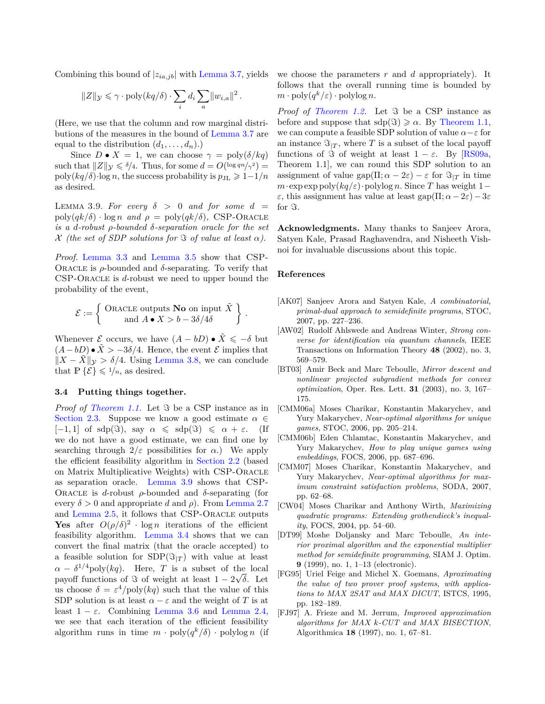Combining this bound of  $|z_{ia,jb}|$  with [Lemma 3.7,](#page-6-8) yields

$$
||Z||_{\mathcal{Y}} \leqslant \gamma \cdot \text{poly}(kq/\delta) \cdot \sum_{i} d_i \sum_a ||w_{i,a}||^2.
$$

(Here, we use that the column and row marginal distributions of the measures in the bound of [Lemma 3.7](#page-6-8) are equal to the distribution  $(d_1, \ldots, d_n)$ .)

Since  $D \bullet X = 1$ , we can choose  $\gamma = \text{poly}(\delta/kq)$ such that  $||Z||_{\mathcal{Y}} \leq \delta/4$ . Thus, for some  $d = O(\log qn / \gamma^2)$  =  $poly(kq/\delta) \cdot \log n$ , the success probability is  $p_{JL} \geq 1-1/n$ as desired.

LEMMA 3.9. For every  $\delta > 0$  and for some  $d =$  $\text{poly}(qk/\delta) \cdot \log n$  *and*  $\rho = \text{poly}(qk/\delta)$ , CSP-ORACLE *is a d-robust ρ-bounded δ-separation oracle for the set X (the set of SDP solutions for*  $\Im$  *of value at least*  $\alpha$ *).* 

*Proof.* [Lemma 3.3](#page-5-2) and [Lemma 3.5](#page-6-2) show that CSP-Oracle is *ρ*-bounded and *δ*-separating. To verify that CSP-Oracle is *d*-robust we need to upper bound the probability of the event,

$$
\mathcal{E} := \left\{ \begin{array}{c} \text{ORACLE outputs } \mathbf{No} \text{ on input } \tilde{X} \\ \text{and } A \bullet X > b - 3\delta/4\delta \end{array} \right\}.
$$

Whenever  $\mathcal{E}$  occurs, we have  $(A - bD) \bullet \tilde{X} \leq -\delta$  but  $(A - bD) \bullet X > -3\delta/4$ . Hence, the event *E* implies that  $\|X - X\|$ <sub>γ</sub> >  $\delta$ /4*.* Using [Lemma 3.8,](#page-6-7) we can conclude that  $\mathbb{P}\{\mathcal{E}\}\leq 1/n$ , as desired.

#### **3.4 Putting things together.**

*Proof of [Theorem 1.1.](#page-1-0)* Let  $\Im$  be a CSP instance as in [Section 2.3.](#page-6-0) Suppose we know a good estimate  $\alpha \in$  $[-1, 1]$  of sdp( $\Im$ ), say  $\alpha \leq \text{sdp}(\Im) \leq \alpha + \varepsilon$ . (If we do not have a good estimate, we can find one by searching through  $2/\varepsilon$  possibilities for  $\alpha$ .) We apply the efficient feasibility algorithm in [Section 2.2](#page-4-1) (based on Matrix Multiplicative Weights) with CSP-Oracle as separation oracle. [Lemma 3.9](#page-7-6) shows that CSP-ORACLE is *d*-robust  $\rho$ -bounded and  $\delta$ -separating (for every  $\delta > 0$  and appropriate *d* and  $\rho$ ). From [Lemma 2.7](#page-6-8) and [Lemma 2.5,](#page-6-2) it follows that CSP-ORACLE outputs **Yes** after  $O(\rho/\delta)^2 \cdot \log n$  iterations of the efficient feasibility algorithm. [Lemma 3.4](#page-5-3) shows that we can convert the final matrix (that the oracle accepted) to a feasible solution for  $SDP(\Im T)$  with value at least  $\alpha - \delta^{1/4}$ poly(*kq*). Here, *T* is a subset of the local payoff functions of  $\Im$  of weight at least  $1 - 2\sqrt{\delta}$ . Let us choose  $\delta = \varepsilon^4 / \text{poly}(kq)$  such that the value of this SDP solution is at least  $\alpha - \varepsilon$  and the weight of *T* is at least  $1 - \varepsilon$ . Combining [Lemma 3.6](#page-6-1) and [Lemma 2.4,](#page-5-3) we see that each iteration of the efficient feasibility algorithm runs in time  $m \cdot \text{poly}(q^k/\delta) \cdot \text{polylog } n$  (if

we choose the parameters *r* and *d* appropriately). It follows that the overall running time is bounded by  $m \cdot \text{poly}(q^k/\varepsilon) \cdot \text{polylog } n.$ 

*Proof of [Theorem 1.2.](#page-1-1)* Let  $\Im$  be a CSP instance as before and suppose that  $\text{sdp}(\Im) \geq \alpha$ . By [Theorem 1.1,](#page-1-0) we can compute a feasible SDP solution of value *α−ε* for an instance  $\Im_{T}$ , where *T* is a subset of the local payoff functions of  $\Im$  of weight at least  $1 - \varepsilon$ . By [\[RS09a,](#page-11-15) Theorem 1.1], we can round this SDP solution to an assignment of value gap( $\Pi$ ;  $\alpha - 2\varepsilon$ ) –  $\varepsilon$  for  $\Im_{T}$  in time  $m \cdot \exp \exp \frac{p\log kq}{\epsilon} \cdot \text{polylog } n$ . Since *T* has weight 1*− ε*, this assignment has value at least gap(Π; *α−*2*ε*)*−*3*ε* for  $\Im$ .

**Acknowledgments.** Many thanks to Sanjeev Arora, Satyen Kale, Prasad Raghavendra, and Nisheeth Vishnoi for invaluable discussions about this topic.

#### **References**

- <span id="page-10-6"></span>[AK07] Sanjeev Arora and Satyen Kale, *A combinatorial, primal-dual approach to semidefinite programs*, STOC, 2007, pp. 227–236.
- <span id="page-10-9"></span>[AW02] Rudolf Ahlswede and Andreas Winter, *Strong converse for identification via quantum channels*, IEEE Transactions on Information Theory **48** (2002), no. 3, 569–579.
- <span id="page-10-8"></span>[BT03] Amir Beck and Marc Teboulle, *Mirror descent and nonlinear projected subgradient methods for convex optimization*, Oper. Res. Lett. **31** (2003), no. 3, 167– 175.
- <span id="page-10-3"></span>[CMM06a] Moses Charikar, Konstantin Makarychev, and Yury Makarychev, *Near-optimal algorithms for unique games*, STOC, 2006, pp. 205–214.
- <span id="page-10-4"></span>[CMM06b] Eden Chlamtac, Konstantin Makarychev, and Yury Makarychev, *How to play unique games using embeddings*, FOCS, 2006, pp. 687–696.
- <span id="page-10-5"></span>[CMM07] Moses Charikar, Konstantin Makarychev, and Yury Makarychev, *Near-optimal algorithms for maximum constraint satisfaction problems*, SODA, 2007, pp. 62–68.
- <span id="page-10-2"></span>[CW04] Moses Charikar and Anthony Wirth, *Maximizing quadratic programs: Extending grothendieck's inequality*, FOCS, 2004, pp. 54–60.
- <span id="page-10-7"></span>[DT99] Moshe Doljansky and Marc Teboulle, *An interior proximal algorithm and the exponential multiplier method for semidefinite programming*, SIAM J. Optim. **9** (1999), no. 1, 1–13 (electronic).
- <span id="page-10-1"></span>[FG95] Uriel Feige and Michel X. Goemans, *Aproximating the value of two prover proof systems, with applications to MAX 2SAT and MAX DICUT*, ISTCS, 1995, pp. 182–189.
- <span id="page-10-0"></span>[FJ97] A. Frieze and M. Jerrum, *Improved approximation algorithms for MAX k-CUT and MAX BISECTION*, Algorithmica **18** (1997), no. 1, 67–81.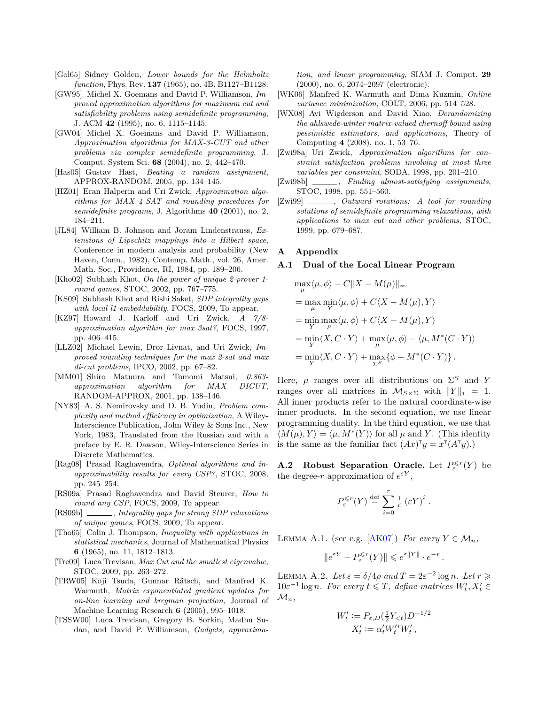- <span id="page-11-22"></span>[Gol65] Sidney Golden, *Lower bounds for the Helmholtz function*, Phys. Rev. **137** (1965), no. 4B, B1127–B1128.
- <span id="page-11-0"></span>[GW95] Michel X. Goemans and David P. Williamson, *Improved approximation algorithms for maximum cut and satisfiability problems using semidefinite programming*, J. ACM **42** (1995), no. 6, 1115–1145.
- <span id="page-11-9"></span>[GW04] Michel X. Goemans and David P. Williamson, *Approximation algorithms for MAX-3-CUT and other problems via complex semidefinite programming*, J. Comput. System Sci. **68** (2004), no. 2, 442–470.
- <span id="page-11-10"></span>[Has05] Gustav Hast, *Beating a random assignment*, APPROX-RANDOM, 2005, pp. 134–145.
- <span id="page-11-6"></span>[HZ01] Eran Halperin and Uri Zwick, *Approximation algorithms for MAX 4-SAT and rounding procedures for semidefinite programs*, J. Algorithms **40** (2001), no. 2, 184–211.
- <span id="page-11-20"></span>[JL84] William B. Johnson and Joram Lindenstrauss, *Extensions of Lipschitz mappings into a Hilbert space*, Conference in modern analysis and probability (New Haven, Conn., 1982), Contemp. Math., vol. 26, Amer. Math. Soc., Providence, RI, 1984, pp. 189–206.
- <span id="page-11-12"></span>[Kho02] Subhash Khot, *On the power of unique 2-prover 1 round games*, STOC, 2002, pp. 767–775.
- <span id="page-11-14"></span>[KS09] Subhash Khot and Rishi Saket, *SDP integrality gaps with local l1-embeddability*, FOCS, 2009, To appear.
- <span id="page-11-1"></span>[KZ97] Howard J. Karloff and Uri Zwick, *A 7/8 approximation algorithm for max 3sat?*, FOCS, 1997, pp. 406–415.
- <span id="page-11-8"></span>[LLZ02] Michael Lewin, Dror Livnat, and Uri Zwick, *Improved rounding techniques for the max 2-sat and max di-cut problems*, IPCO, 2002, pp. 67–82.
- <span id="page-11-7"></span>[MM01] Shiro Matuura and Tomomi Matsui, *0.863 approximation algorithm for MAX DICUT*, RANDOM-APPROX, 2001, pp. 138–146.
- <span id="page-11-19"></span>[NY83] A. S. Nemirovsky and D. B. Yudin, *Problem complexity and method efficiency in optimization*, A Wiley-Interscience Publication, John Wiley & Sons Inc., New York, 1983, Translated from the Russian and with a preface by E. R. Dawson, Wiley-Interscience Series in Discrete Mathematics.
- <span id="page-11-11"></span>[Rag08] Prasad Raghavendra, *Optimal algorithms and inapproximability results for every CSP?*, STOC, 2008, pp. 245–254.
- <span id="page-11-15"></span>[RS09a] Prasad Raghavendra and David Steurer, *How to round any CSP*, FOCS, 2009, To appear.
- <span id="page-11-13"></span>[RS09b] , *Integrality gaps for strong SDP relaxations of unique games*, FOCS, 2009, To appear.
- <span id="page-11-23"></span>[Tho65] Colin J. Thompson, *Inequality with applications in statistical mechanics*, Journal of Mathematical Physics **6** (1965), no. 11, 1812–1813.
- <span id="page-11-16"></span>[Tre09] Luca Trevisan, *Max Cut and the smallest eigenvalue*, STOC, 2009, pp. 263–272.
- <span id="page-11-17"></span>[TRW05] Koji Tsuda, Gunnar Rätsch, and Manfred K. Warmuth, *Matrix exponentiated gradient updates for on-line learning and bregman projection*, Journal of Machine Learning Research **6** (2005), 995–1018.
- <span id="page-11-5"></span>[TSSW00] Luca Trevisan, Gregory B. Sorkin, Madhu Sudan, and David P. Williamson, *Gadgets, approxima-*

*tion, and linear programming*, SIAM J. Comput. **29** (2000), no. 6, 2074–2097 (electronic).

- <span id="page-11-18"></span>[WK06] Manfred K. Warmuth and Dima Kuzmin, *Online variance minimization*, COLT, 2006, pp. 514–528.
- <span id="page-11-21"></span>[WX08] Avi Wigderson and David Xiao, *Derandomizing the ahlswede-winter matrix-valued chernoff bound using pessimistic estimators, and applications*, Theory of Computing **4** (2008), no. 1, 53–76.
- <span id="page-11-2"></span>[Zwi98a] Uri Zwick, *Approximation algorithms for constraint satisfaction problems involving at most three variables per constraint*, SODA, 1998, pp. 201–210.
- <span id="page-11-3"></span>[Zwi98b] , *Finding almost-satisfying assignments*, STOC, 1998, pp. 551–560.
- <span id="page-11-4"></span>[Zwi99] , *Outward rotations: A tool for rounding solutions of semidefinite programming relaxations, with applications to max cut and other problems*, STOC, 1999, pp. 679–687.

#### **A Appendix**

### <span id="page-11-25"></span>**A.1 Dual of the Local Linear Program**

$$
\max_{\mu} \langle \mu, \phi \rangle - C ||X - M(\mu)||_{\infty} \n= \max_{\mu} \min_{Y} \langle \mu, \phi \rangle + C \langle X - M(\mu), Y \rangle \n= \min_{Y} \max_{\mu} \langle \mu, \phi \rangle + C \langle X - M(\mu), Y \rangle \n= \min_{Y} \langle X, C \cdot Y \rangle + \max_{\mu} \langle \mu, \phi \rangle - \langle \mu, M^*(C \cdot Y) \rangle \n= \min_{Y} \langle X, C \cdot Y \rangle + \max_{\Sigma^S} \{ \phi - M^*(C \cdot Y) \} .
$$

Here,  $\mu$  ranges over all distributions on  $\Sigma^S$  and Y ranges over all matrices in  $\mathcal{M}_{S \times \Sigma}$  with  $||Y||_1 = 1$ . All inner products refer to the natural coordinate-wise inner products. In the second equation, we use linear programming duality. In the third equation, we use that  $\langle M(\mu), Y \rangle = \langle \mu, M^*(Y) \rangle$  for all  $\mu$  and *Y*. (This identity is the same as the familiar fact  $(Ax)^{T}y = x^{T}(A^{T}y)$ .)

<span id="page-11-24"></span>**A.2** Robust Separation Oracle. Let  $P_{\varepsilon}^{\leq r}(Y)$  be the degree-*r* approximation of  $e^{\varepsilon Y}$ ,

$$
P_{\varepsilon}^{\leq r}(Y) \stackrel{\text{def}}{=} \sum_{i=0}^{r} \frac{1}{i!} (\varepsilon Y)^{i} .
$$

LEMMA A.1. (see e.g. [\[AK07\]](#page-10-6)) *For every*  $Y \in \mathcal{M}_n$ ,

$$
\|e^{\varepsilon Y} - P_\varepsilon^{\leqslant r}(Y)\| \leqslant e^{\varepsilon \|Y\|} \cdot e^{-r}\,.
$$

LEMMA A.2. *Let*  $\varepsilon = \delta/4\rho$  *and*  $T = 2\varepsilon^{-2} \log n$ . *Let*  $r \geq$  $10\varepsilon^{-1} \log n$ *. For every*  $t \leq T$ *, define matrices*  $W'_t, X'_t \in$  $\mathcal{M}_n$ *,* 

$$
W'_{t} := P_{\varepsilon,D}(\frac{1}{2}Y_{  

$$
X'_{t} := \alpha'_{t}W'^{\tau}_{t}W'_{t},
$$
$$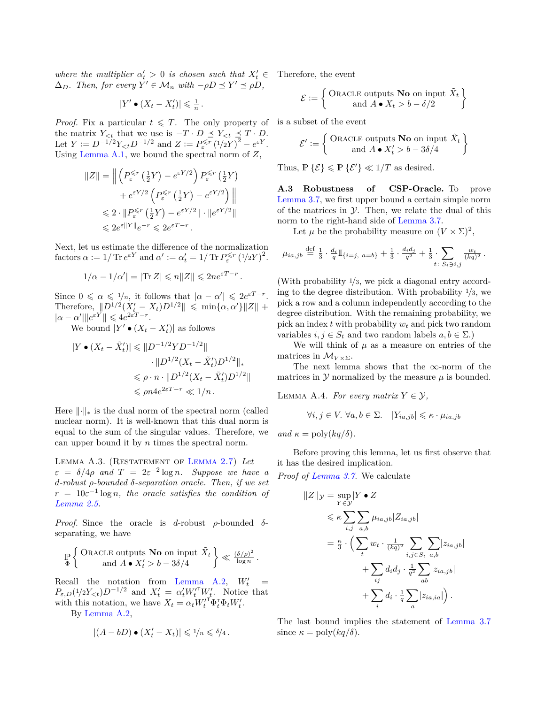*where the multiplier*  $\alpha'_t > 0$  *is chosen such that*  $X'_t \in$  $\Delta_D$ *. Then, for every*  $Y' \in \mathcal{M}_n$  *with*  $-\rho D \preceq Y' \preceq \rho D$ *,* 

$$
|Y' \bullet (X_t - X'_t)| \leq \frac{1}{n} \, .
$$

*Proof.* Fix a particular  $t \leq T$ . The only property of the matrix  $Y_{\leq t}$  that we use is  $-T \cdot D \preceq Y_{\leq t} \preceq T \cdot D$ . Let  $Y := D^{-1/2}Y_{\le t}D^{-1/2}$  and  $Z := P_{\varepsilon}^{\le r} (1/2Y)^2 - e^{\varepsilon Y}$ . Using [Lemma A.1,](#page-1-0) we bound the spectral norm of *Z*,

$$
||Z|| = \left\| \left( P_{\varepsilon}^{\leq r} \left( \frac{1}{2} Y \right) - e^{\varepsilon Y/2} \right) P_{\varepsilon}^{\leq r} \left( \frac{1}{2} Y \right) \right. \\ \left. + e^{\varepsilon Y/2} \left( P_{\varepsilon}^{\leq r} \left( \frac{1}{2} Y \right) - e^{\varepsilon Y/2} \right) \right\| \\ \leq 2 \cdot ||P_{\varepsilon}^{\leq r} \left( \frac{1}{2} Y \right) - e^{\varepsilon Y/2} || \cdot ||e^{\varepsilon Y/2} || \\ \leq 2 e^{\varepsilon ||Y||} e^{-r} \leq 2 e^{\varepsilon T - r} .
$$

Next, let us estimate the difference of the normalization factors  $\alpha := 1/\text{Tr } e^{\varepsilon Y}$  and  $\alpha' := \alpha'_t = 1/\text{Tr } P_{\varepsilon}^{\leq r} (1/2Y)^2$ .

$$
|1/\alpha-1/\alpha'|=|{\rm Tr}\,Z|\leqslant n\|Z\|\leqslant 2n e^{\varepsilon T-r}\,.
$$

Since  $0 \le \alpha \le 1/n$ , it follows that  $|\alpha - \alpha'| \le 2e^{\epsilon T - r}$ .  $\text{Therefore, } ||D^{1/2}(X_t - X_t)D^{1/2}|| \leq \min\{\alpha, \alpha'\}||Z|| +$  $|a - a'| ||e^{\varepsilon Y}|| \leq 4e^{2\varepsilon T - r}.$ 

We bound  $|Y' \bullet (X_t - X_t')|$  as follows

$$
|Y \bullet (X_t - \tilde{X}'_t)| \leq ||D^{-1/2}YD^{-1/2}||
$$
  

$$
\cdot ||D^{1/2}(X_t - \tilde{X}'_t)D^{1/2}||_*
$$
  

$$
\leq \rho \cdot n \cdot ||D^{1/2}(X_t - \tilde{X}'_t)D^{1/2}||
$$
  

$$
\leq \rho n 4e^{2\varepsilon T - r} \leq 1/n.
$$

Here  $\|\cdot\|_*$  is the dual norm of the spectral norm (called nuclear norm). It is well-known that this dual norm is equal to the sum of the singular values. Therefore, we can upper bound it by *n* times the spectral norm.

Lemma A.3. (Restatement of [Lemma 2.7\)](#page-6-8) *Let*  $\varepsilon = \delta/4\rho$  *and*  $T = 2\varepsilon^{-2}\log n$ *. Suppose we have a d-robust ρ-bounded δ-separation oracle. Then, if we set*  $r = 10\varepsilon^{-1}\log n$ , the oracle satisfies the condition of *[Lemma 2.5.](#page-6-2)*

*Proof.* Since the oracle is *d*-robust *ρ*-bounded *δ*separating, we have

$$
\mathop{\mathbb{P}}\limits_{\Phi} \left\{\begin{array}{c}\text{ORACLE outputs $\mathbf{No}$ on input $\tilde X_t$}\\ \text{and $A \bullet X'_t > b - 3\delta/4$}\end{array}\right\} \ll \frac{(\delta/\rho)^2}{\log n}\,.
$$

Recall the notation from [Lemma A.2,](#page-1-1)  $W'_t$  = *P*<sub>ε,D</sub>( $\frac{1}{2}Y_{< t}$ )*D*<sup>−1/2</sup> and  $X'_t = \alpha'_t W'^{\dagger}_t W'_t$ . Notice that with this notation, we have  $X_t = \alpha_t W_t^{\prime \dagger} \Phi_t^{\dagger} \Phi_t W_t^{\prime}$ .

By [Lemma A.2,](#page-1-1)

$$
|(A-bD)\bullet (X'_t-X_t)|\leq 1/n\leq \delta/4\,.
$$

Therefore, the event

$$
\mathcal{E} := \left\{ \begin{array}{c} \text{ORACLE outputs } \mathbf{No} \text{ on input } \tilde{X}_t \\ \text{and } A \bullet X_t > b - \delta/2 \end{array} \right\}
$$

is a subset of the event

$$
\mathcal{E}' := \left\{ \begin{array}{c} \text{ORACLE outputs } \mathbf{No} \text{ on input } \tilde{X}_t \\ \text{and } A \bullet X'_t > b - 3\delta/4 \end{array} \right\}
$$

Thus,  $\mathbb{P}\{\mathcal{E}\} \leq \mathbb{P}\{\mathcal{E}'\} \ll 1/T$  as desired.

<span id="page-12-0"></span>**A.3 Robustness of CSP-Oracle.** To prove [Lemma 3.7,](#page-6-8) we first upper bound a certain simple norm of the matrices in *Y*. Then, we relate the dual of this norm to the right-hand side of [Lemma 3.7.](#page-6-8)

Let  $\mu$  be the probability measure on  $(V \times \Sigma)^2$ ,

$$
\mu_{ia,jb} \stackrel{\text{def}}{=} \frac{1}{3} \cdot \frac{d_i}{q} \mathbb{I}_{\{i=j, a=b\}} + \frac{1}{3} \cdot \frac{d_i d_j}{q^2} + \frac{1}{3} \cdot \sum_{t \colon S_t \ni i,j} \frac{w_t}{(kq)^2}.
$$

(With probability <sup>1</sup>*/*3, we pick a diagonal entry according to the degree distribution. With probability <sup>1</sup>*/*3, we pick a row and a column independently according to the degree distribution. With the remaining probability, we pick an index *t* with probability *w<sup>t</sup>* and pick two random variables  $i, j \in S_t$  and two random labels  $a, b \in \Sigma$ .)

We will think of  $\mu$  as a measure on entries of the matrices in  $\mathcal{M}_{V\times\Sigma}$ .

The next lemma shows that the *∞*-norm of the matrices in  $\mathcal Y$  normalized by the measure  $\mu$  is bounded.

LEMMA A.4. For every matrix  $Y \in \mathcal{Y}$ ,

$$
\forall i, j \in V. \ \forall a, b \in \Sigma. \quad |Y_{ia,jb}| \leq \kappa \cdot \mu_{ia,jb}
$$

 $and \kappa = \text{poly}(kq/\delta).$ 

Before proving this lemma, let us first observe that it has the desired implication.

*Proof of [Lemma 3.7.](#page-6-8)* We calculate

$$
||Z||_{\mathcal{Y}} = \sup_{Y \in \mathcal{Y}} |Y \bullet Z|
$$
  
\n
$$
\leq \kappa \sum_{i,j} \sum_{a,b} \mu_{ia,jb} |Z_{ia,jb}|
$$
  
\n
$$
= \frac{\kappa}{3} \cdot \left( \sum_{t} w_t \cdot \frac{1}{(kq)^2} \sum_{i,j \in S_t} \sum_{a,b} |z_{ia,jb}| + \sum_{ij} d_i d_j \cdot \frac{1}{q^2} \sum_{ab} |z_{ia,jb}| + \sum_{i} d_i \cdot \frac{1}{q} \sum_{a} |z_{ia,ia}| \right).
$$

The last bound implies the statement of [Lemma 3.7](#page-6-8) since  $\kappa = \text{poly}(kq/\delta)$ .